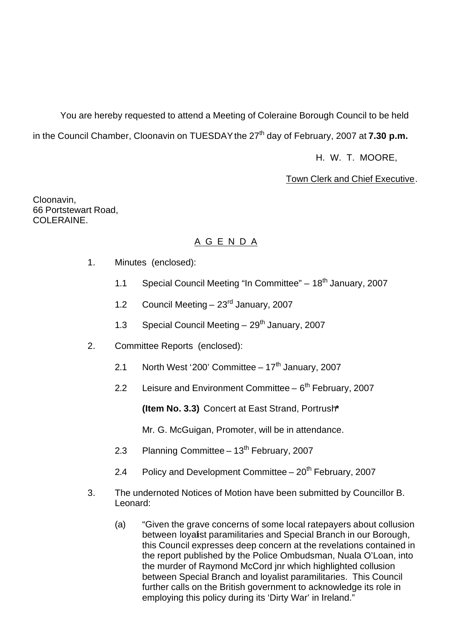You are hereby requested to attend a Meeting of Coleraine Borough Council to be held in the Council Chamber, Cloonavin on TUESDAY the 27<sup>th</sup> day of February, 2007 at **7.30 p.m.** 

H. W. T. MOORE,

Town Clerk and Chief Executive.

Cloonavin, 66 Portstewart Road, COLERAINE.

# A G E N D A

- 1. Minutes (enclosed):
	- 1.1 Special Council Meeting "In Committee"  $-18<sup>th</sup>$  January, 2007
	- 1.2 Council Meeting 23<sup>rd</sup> January, 2007
	- 1.3 Special Council Meeting  $-29<sup>th</sup>$  January, 2007
- 2. Committee Reports (enclosed):
	- 2.1 North West '200' Committee  $-17<sup>th</sup>$  January, 2007
	- 2.2 Leisure and Environment Committee  $6<sup>th</sup>$  February, 2007

**(Item No. 3.3)** Concert at East Strand, Portrush**\***

Mr. G. McGuigan, Promoter, will be in attendance.

- 2.3 Planning Committee  $13<sup>th</sup>$  February, 2007
- 2.4 Policy and Development Committee  $20<sup>th</sup>$  February, 2007
- 3. The undernoted Notices of Motion have been submitted by Councillor B. Leonard:
	- (a) "Given the grave concerns of some local ratepayers about collusion between loyalist paramilitaries and Special Branch in our Borough, this Council expresses deep concern at the revelations contained in the report published by the Police Ombudsman, Nuala O'Loan, into the murder of Raymond McCord jnr which highlighted collusion between Special Branch and loyalist paramilitaries. This Council further calls on the British government to acknowledge its role in employing this policy during its 'Dirty War' in Ireland."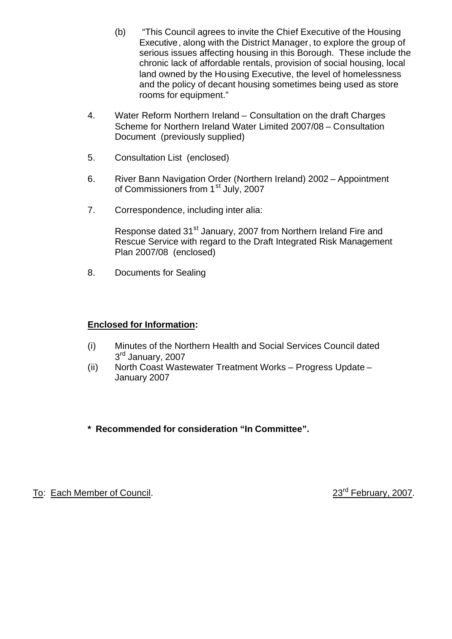- (b) "This Council agrees to invite the Chief Executive of the Housing Executive, along with the District Manager, to explore the group of serious issues affecting housing in this Borough. These include the chronic lack of affordable rentals, provision of social housing, local land owned by the Housing Executive, the level of homelessness and the policy of decant housing sometimes being used as store rooms for equipment."
- 4. Water Reform Northern Ireland Consultation on the draft Charges Scheme for Northern Ireland Water Limited 2007/08 – Consultation Document (previously supplied)
- 5. Consultation List (enclosed)
- 6. River Bann Navigation Order (Northern Ireland) 2002 Appointment of Commissioners from 1<sup>st</sup> July, 2007
- 7. Correspondence, including inter alia:

Response dated 31<sup>st</sup> January, 2007 from Northern Ireland Fire and Rescue Service with regard to the Draft Integrated Risk Management Plan 2007/08 (enclosed)

8. Documents for Sealing

# **Enclosed for Information:**

- (i) Minutes of the Northern Health and Social Services Council dated 3<sup>rd</sup> January, 2007
- (ii) North Coast Wastewater Treatment Works Progress Update January 2007
- **\* Recommended for consideration "In Committee".**

To: Each Member of Council. 23<sup>rd</sup> February, 2007.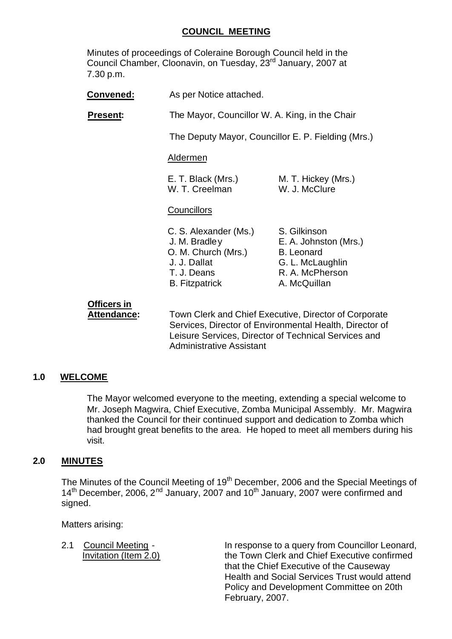# **COUNCIL MEETING**

Minutes of proceedings of Coleraine Borough Council held in the Council Chamber, Cloonavin, on Tuesday, 23<sup>rd</sup> January, 2007 at 7.30 p.m.

| Convened:       | As per Notice attached.                                                                                               |                                                                                                                   |  |
|-----------------|-----------------------------------------------------------------------------------------------------------------------|-------------------------------------------------------------------------------------------------------------------|--|
| <b>Present:</b> |                                                                                                                       | The Mayor, Councillor W. A. King, in the Chair                                                                    |  |
|                 |                                                                                                                       | The Deputy Mayor, Councillor E. P. Fielding (Mrs.)                                                                |  |
|                 | Aldermen                                                                                                              |                                                                                                                   |  |
|                 | E. T. Black (Mrs.)<br>W. T. Creelman                                                                                  | M. T. Hickey (Mrs.)<br>W. J. McClure                                                                              |  |
|                 | Councillors                                                                                                           |                                                                                                                   |  |
|                 | C. S. Alexander (Ms.)<br>J. M. Bradley<br>O. M. Church (Mrs.)<br>J. J. Dallat<br>T. J. Deans<br><b>B.</b> Fitzpatrick | S. Gilkinson<br>E. A. Johnston (Mrs.)<br><b>B.</b> Leonard<br>G. L. McLaughlin<br>R. A. McPherson<br>A. McQuillan |  |
| Officers in     |                                                                                                                       |                                                                                                                   |  |

**Attendance:** Town Clerk and Chief Executive, Director of Corporate Services, Director of Environmental Health, Director of Leisure Services, Director of Technical Services and Administrative Assistant

# **1.0 WELCOME**

The Mayor welcomed everyone to the meeting, extending a special welcome to Mr. Joseph Magwira, Chief Executive, Zomba Municipal Assembly. Mr. Magwira thanked the Council for their continued support and dedication to Zomba which had brought great benefits to the area. He hoped to meet all members during his visit.

# **2.0 MINUTES**

The Minutes of the Council Meeting of 19<sup>th</sup> December, 2006 and the Special Meetings of 14<sup>th</sup> December, 2006, 2<sup>nd</sup> January, 2007 and 10<sup>th</sup> January, 2007 were confirmed and signed.

Matters arising:

2.1 Council Meeting - The response to a query from Councillor Leonard, Invitation (Item 2.0) the Town Clerk and Chief Executive confirmed that the Chief Executive of the Causeway Health and Social Services Trust would attend Policy and Development Committee on 20th February, 2007.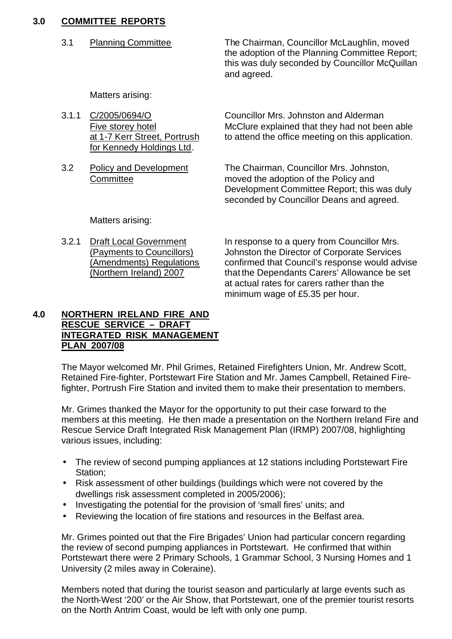# **3.0 COMMITTEE REPORTS**

 3.1 Planning Committee The Chairman, Councillor McLaughlin, moved the adoption of the Planning Committee Report; this was duly seconded by Councillor McQuillan and agreed.

Matters arising:

| 3.1.1 C/2005/0694/O          | Councillor Mrs. Johnston and Alderman             |
|------------------------------|---------------------------------------------------|
| Five storey hotel            | McClure explained that they had not been able     |
| at 1-7 Kerr Street, Portrush | to attend the office meeting on this application. |
| for Kennedy Holdings Ltd.    |                                                   |
|                              |                                                   |

3.2 Policy and Development The Chairman, Councillor Mrs. Johnston, Committee moved the adoption of the Policy and Development Committee Report; this was duly seconded by Councillor Deans and agreed.

Matters arising:

3.2.1 Draft Local Government In response to a query from Councillor Mrs. (Payments to Councillors) Johnston the Director of Corporate Services (Amendments) Regulations confirmed that Council's response would advise (Northern Ireland) 2007 that the Dependants Carers' Allowance be set at actual rates for carers rather than the minimum wage of £5.35 per hour.

#### **4.0 NORTHERN IRELAND FIRE AND RESCUE SERVICE – DRAFT INTEGRATED RISK MANAGEMENT PLAN 2007/08**

The Mayor welcomed Mr. Phil Grimes, Retained Firefighters Union, Mr. Andrew Scott, Retained Fire-fighter, Portstewart Fire Station and Mr. James Campbell, Retained Firefighter, Portrush Fire Station and invited them to make their presentation to members.

Mr. Grimes thanked the Mayor for the opportunity to put their case forward to the members at this meeting. He then made a presentation on the Northern Ireland Fire and Rescue Service Draft Integrated Risk Management Plan (IRMP) 2007/08, highlighting various issues, including:

- The review of second pumping appliances at 12 stations including Portstewart Fire Station;
- Risk assessment of other buildings (buildings which were not covered by the dwellings risk assessment completed in 2005/2006);
- Investigating the potential for the provision of 'small fires' units; and
- Reviewing the location of fire stations and resources in the Belfast area.

Mr. Grimes pointed out that the Fire Brigades' Union had particular concern regarding the review of second pumping appliances in Portstewart. He confirmed that within Portstewart there were 2 Primary Schools, 1 Grammar School, 3 Nursing Homes and 1 University (2 miles away in Coleraine).

Members noted that during the tourist season and particularly at large events such as the North-West '200' or the Air Show, that Portstewart, one of the premier tourist resorts on the North Antrim Coast, would be left with only one pump.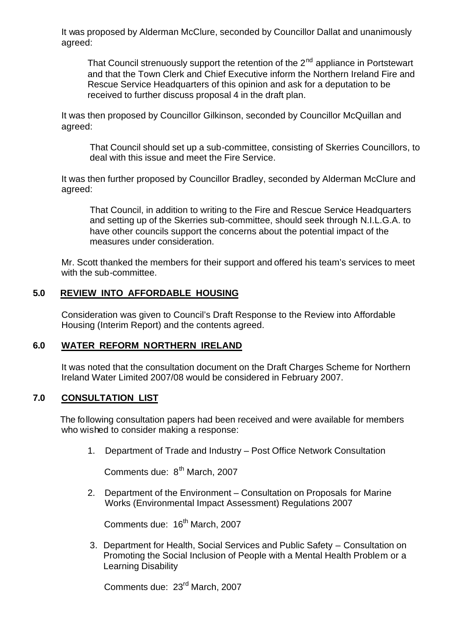It was proposed by Alderman McClure, seconded by Councillor Dallat and unanimously agreed:

That Council strenuously support the retention of the  $2<sup>nd</sup>$  appliance in Portstewart and that the Town Clerk and Chief Executive inform the Northern Ireland Fire and Rescue Service Headquarters of this opinion and ask for a deputation to be received to further discuss proposal 4 in the draft plan.

It was then proposed by Councillor Gilkinson, seconded by Councillor McQuillan and agreed:

That Council should set up a sub-committee, consisting of Skerries Councillors, to deal with this issue and meet the Fire Service.

It was then further proposed by Councillor Bradley, seconded by Alderman McClure and agreed:

That Council, in addition to writing to the Fire and Rescue Service Headquarters and setting up of the Skerries sub-committee, should seek through N.I.L.G.A. to have other councils support the concerns about the potential impact of the measures under consideration.

Mr. Scott thanked the members for their support and offered his team's services to meet with the sub-committee.

#### **5.0 REVIEW INTO AFFORDABLE HOUSING**

Consideration was given to Council's Draft Response to the Review into Affordable Housing (Interim Report) and the contents agreed.

#### **6.0 WATER REFORM NORTHERN IRELAND**

It was noted that the consultation document on the Draft Charges Scheme for Northern Ireland Water Limited 2007/08 would be considered in February 2007.

#### **7.0 CONSULTATION LIST**

The following consultation papers had been received and were available for members who wished to consider making a response:

1. Department of Trade and Industry – Post Office Network Consultation

Comments due: 8<sup>th</sup> March, 2007

2. Department of the Environment – Consultation on Proposals for Marine Works (Environmental Impact Assessment) Regulations 2007

Comments due: 16<sup>th</sup> March, 2007

3. Department for Health, Social Services and Public Safety – Consultation on Promoting the Social Inclusion of People with a Mental Health Problem or a Learning Disability

Comments due: 23rd March, 2007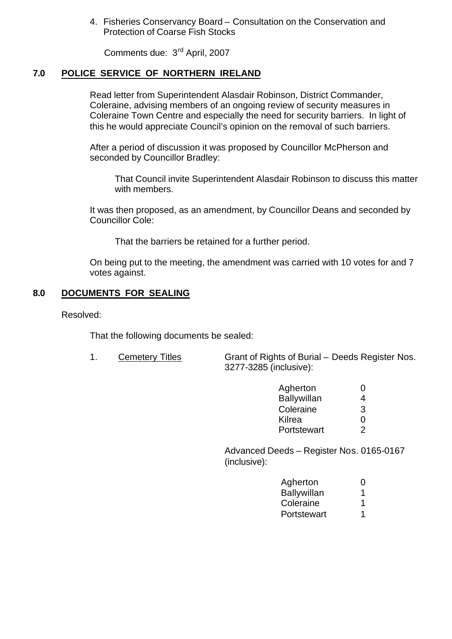4. Fisheries Conservancy Board – Consultation on the Conservation and Protection of Coarse Fish Stocks

Comments due: 3rd April, 2007

# **7.0 POLICE SERVICE OF NORTHERN IRELAND**

Read letter from Superintendent Alasdair Robinson, District Commander, Coleraine, advising members of an ongoing review of security measures in Coleraine Town Centre and especially the need for security barriers. In light of this he would appreciate Council's opinion on the removal of such barriers.

After a period of discussion it was proposed by Councillor McPherson and seconded by Councillor Bradley:

That Council invite Superintendent Alasdair Robinson to discuss this matter with members.

It was then proposed, as an amendment, by Councillor Deans and seconded by Councillor Cole:

That the barriers be retained for a further period.

On being put to the meeting, the amendment was carried with 10 votes for and 7 votes against.

#### **8.0 DOCUMENTS FOR SEALING**

Resolved:

That the following documents be sealed:

1. Cemetery Titles Grant of Rights of Burial – Deeds Register Nos. 3277-3285 (inclusive):

| Agherton           | 0 |
|--------------------|---|
| <b>Ballywillan</b> | 4 |
| Coleraine          | 3 |
| Kilrea             | O |
| Portstewart        | 2 |

Advanced Deeds – Register Nos. 0165-0167 (inclusive):

| Agherton           | $\mathbf{\Omega}$ |
|--------------------|-------------------|
| <b>Ballywillan</b> |                   |
| Coleraine          | 1                 |
| Portstewart        |                   |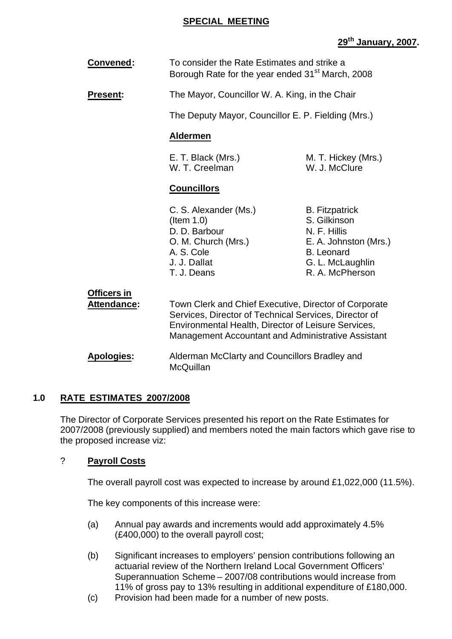### **SPECIAL MEETING**

# **29th January, 2007.**

| <b>Convened:</b>                         | To consider the Rate Estimates and strike a<br>Borough Rate for the year ended 31 <sup>st</sup> March, 2008                                                                                                                        |                                                                                                                                            |  |  |
|------------------------------------------|------------------------------------------------------------------------------------------------------------------------------------------------------------------------------------------------------------------------------------|--------------------------------------------------------------------------------------------------------------------------------------------|--|--|
| <b>Present:</b>                          |                                                                                                                                                                                                                                    | The Mayor, Councillor W. A. King, in the Chair                                                                                             |  |  |
|                                          |                                                                                                                                                                                                                                    | The Deputy Mayor, Councillor E. P. Fielding (Mrs.)                                                                                         |  |  |
|                                          | <b>Aldermen</b>                                                                                                                                                                                                                    |                                                                                                                                            |  |  |
|                                          | E. T. Black (Mrs.)<br>M. T. Hickey (Mrs.)<br>W. T. Creelman<br>W. J. McClure                                                                                                                                                       |                                                                                                                                            |  |  |
|                                          | <b>Councillors</b>                                                                                                                                                                                                                 |                                                                                                                                            |  |  |
|                                          | C. S. Alexander (Ms.)<br>(Item 1.0)<br>D. D. Barbour<br>O. M. Church (Mrs.)<br>A. S. Cole<br>J. J. Dallat<br>T. J. Deans                                                                                                           | <b>B.</b> Fitzpatrick<br>S. Gilkinson<br>N. F. Hillis<br>E. A. Johnston (Mrs.)<br><b>B.</b> Leonard<br>G. L. McLaughlin<br>R. A. McPherson |  |  |
| <b>Officers in</b><br><b>Attendance:</b> | Town Clerk and Chief Executive, Director of Corporate<br>Services, Director of Technical Services, Director of<br>Environmental Health, Director of Leisure Services,<br><b>Management Accountant and Administrative Assistant</b> |                                                                                                                                            |  |  |
| <b>Apologies:</b>                        | Alderman McClarty and Councillors Bradley and<br>McQuillan                                                                                                                                                                         |                                                                                                                                            |  |  |

#### **1.0 RATE ESTIMATES 2007/2008**

The Director of Corporate Services presented his report on the Rate Estimates for 2007/2008 (previously supplied) and members noted the main factors which gave rise to the proposed increase viz:

# ? **Payroll Costs**

The overall payroll cost was expected to increase by around £1,022,000 (11.5%).

The key components of this increase were:

- (a) Annual pay awards and increments would add approximately 4.5% (£400,000) to the overall payroll cost;
- (b) Significant increases to employers' pension contributions following an actuarial review of the Northern Ireland Local Government Officers' Superannuation Scheme – 2007/08 contributions would increase from 11% of gross pay to 13% resulting in additional expenditure of £180,000.
- (c) Provision had been made for a number of new posts.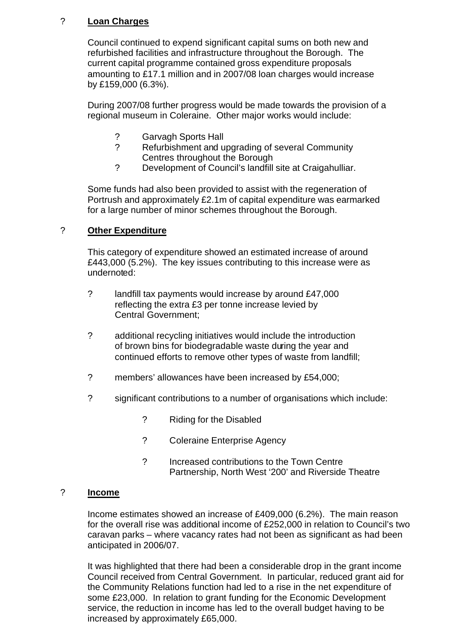# ? **Loan Charges**

Council continued to expend significant capital sums on both new and refurbished facilities and infrastructure throughout the Borough. The current capital programme contained gross expenditure proposals amounting to £17.1 million and in 2007/08 loan charges would increase by £159,000 (6.3%).

During 2007/08 further progress would be made towards the provision of a regional museum in Coleraine. Other major works would include:

- ? Garvagh Sports Hall
- ? Refurbishment and upgrading of several Community Centres throughout the Borough
- ? Development of Council's landfill site at Craigahulliar.

Some funds had also been provided to assist with the regeneration of Portrush and approximately £2.1m of capital expenditure was earmarked for a large number of minor schemes throughout the Borough.

## ? **Other Expenditure**

This category of expenditure showed an estimated increase of around £443,000 (5.2%). The key issues contributing to this increase were as undernoted:

- ? landfill tax payments would increase by around £47,000 reflecting the extra £3 per tonne increase levied by Central Government;
- ? additional recycling initiatives would include the introduction of brown bins for biodegradable waste during the year and continued efforts to remove other types of waste from landfill;
- ? members' allowances have been increased by £54,000;
- ? significant contributions to a number of organisations which include:
	- ? Riding for the Disabled
	- ? Coleraine Enterprise Agency
	- ? Increased contributions to the Town Centre Partnership, North West '200' and Riverside Theatre

#### ? **Income**

Income estimates showed an increase of £409,000 (6.2%). The main reason for the overall rise was additional income of £252,000 in relation to Council's two caravan parks – where vacancy rates had not been as significant as had been anticipated in 2006/07.

It was highlighted that there had been a considerable drop in the grant income Council received from Central Government. In particular, reduced grant aid for the Community Relations function had led to a rise in the net expenditure of some £23,000. In relation to grant funding for the Economic Development service, the reduction in income has led to the overall budget having to be increased by approximately £65,000.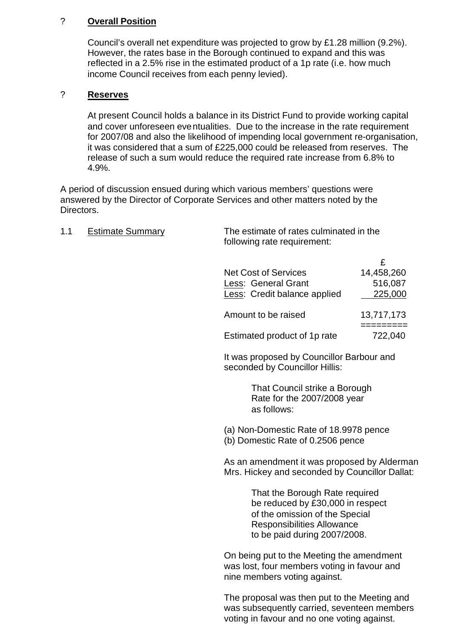# ? **Overall Position**

Council's overall net expenditure was projected to grow by £1.28 million (9.2%). However, the rates base in the Borough continued to expand and this was reflected in a 2.5% rise in the estimated product of a 1p rate (i.e. how much income Council receives from each penny levied).

### ? **Reserves**

At present Council holds a balance in its District Fund to provide working capital and cover unforeseen eventualities. Due to the increase in the rate requirement for 2007/08 and also the likelihood of impending local government re-organisation, it was considered that a sum of £225,000 could be released from reserves. The release of such a sum would reduce the required rate increase from 6.8% to 4.9%.

A period of discussion ensued during which various members' questions were answered by the Director of Corporate Services and other matters noted by the Directors.

1.1 Estimate Summary The estimate of rates culminated in the

| 1. I | <u>Estimate Summary</u> | The estimate of rates cummitated in the<br>following rate requirement:                                                                                                    |                                       |
|------|-------------------------|---------------------------------------------------------------------------------------------------------------------------------------------------------------------------|---------------------------------------|
|      |                         | <b>Net Cost of Services</b><br>Less: General Grant<br>Less: Credit balance applied                                                                                        | £<br>14,458,260<br>516,087<br>225,000 |
|      |                         | Amount to be raised                                                                                                                                                       | 13,717,173                            |
|      |                         | Estimated product of 1p rate                                                                                                                                              | =========<br>722,040                  |
|      |                         | It was proposed by Councillor Barbour and<br>seconded by Councillor Hillis:                                                                                               |                                       |
|      |                         | That Council strike a Borough<br>Rate for the 2007/2008 year<br>as follows:                                                                                               |                                       |
|      |                         | (a) Non-Domestic Rate of 18.9978 pence<br>(b) Domestic Rate of 0.2506 pence                                                                                               |                                       |
|      |                         | As an amendment it was proposed by Alderman<br>Mrs. Hickey and seconded by Councillor Dallat:                                                                             |                                       |
|      |                         | That the Borough Rate required<br>be reduced by £30,000 in respect<br>of the omission of the Special<br><b>Responsibilities Allowance</b><br>to be paid during 2007/2008. |                                       |
|      |                         | On being put to the Meeting the amendment<br>was lost, four members voting in favour and<br>nine members voting against.                                                  |                                       |
|      |                         | The proposal was then put to the Meeting and<br>was subsequently carried, seventeen members                                                                               |                                       |

voting in favour and no one voting against.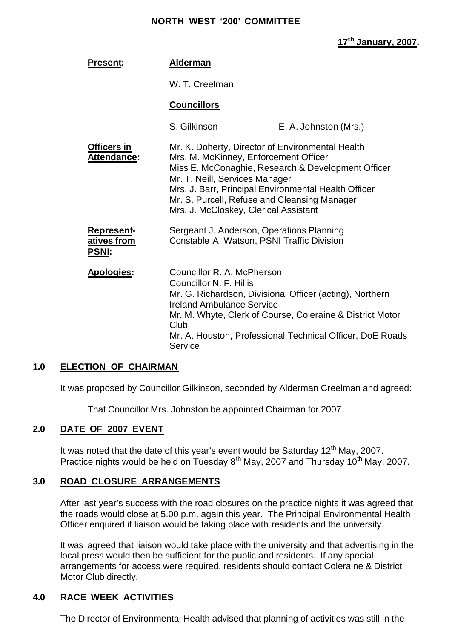#### **NORTH WEST '200' COMMITTEE**

# **17th January, 2007.**

| <b>Alderman</b>                                                                                                                                                                                                                                                              |                                                                                                                                                                                    |
|------------------------------------------------------------------------------------------------------------------------------------------------------------------------------------------------------------------------------------------------------------------------------|------------------------------------------------------------------------------------------------------------------------------------------------------------------------------------|
| W. T. Creelman                                                                                                                                                                                                                                                               |                                                                                                                                                                                    |
| <b>Councillors</b>                                                                                                                                                                                                                                                           |                                                                                                                                                                                    |
| S. Gilkinson                                                                                                                                                                                                                                                                 | E. A. Johnston (Mrs.)                                                                                                                                                              |
| Mr. K. Doherty, Director of Environmental Health<br>Mrs. M. McKinney, Enforcement Officer<br>Mr. T. Neill, Services Manager<br>Mrs. J. Barr, Principal Environmental Health Officer<br>Mr. S. Purcell, Refuse and Cleansing Manager<br>Mrs. J. McCloskey, Clerical Assistant | Miss E. McConaghie, Research & Development Officer                                                                                                                                 |
| Sergeant J. Anderson, Operations Planning<br>Constable A. Watson, PSNI Traffic Division                                                                                                                                                                                      |                                                                                                                                                                                    |
| Councillor R. A. McPherson<br>Councillor N. F. Hillis<br><b>Ireland Ambulance Service</b><br>Club<br>Service                                                                                                                                                                 | Mr. G. Richardson, Divisional Officer (acting), Northern<br>Mr. M. Whyte, Clerk of Course, Coleraine & District Motor<br>Mr. A. Houston, Professional Technical Officer, DoE Roads |
|                                                                                                                                                                                                                                                                              |                                                                                                                                                                                    |

#### **1.0 ELECTION OF CHAIRMAN**

It was proposed by Councillor Gilkinson, seconded by Alderman Creelman and agreed:

That Councillor Mrs. Johnston be appointed Chairman for 2007.

#### **2.0 DATE OF 2007 EVENT**

It was noted that the date of this year's event would be Saturday  $12<sup>th</sup>$  May, 2007. Practice nights would be held on Tuesday  $8<sup>th</sup>$  May, 2007 and Thursday 10<sup>th</sup> May, 2007.

#### **3.0 ROAD CLOSURE ARRANGEMENTS**

After last year's success with the road closures on the practice nights it was agreed that the roads would close at 5.00 p.m. again this year. The Principal Environmental Health Officer enquired if liaison would be taking place with residents and the university.

It was agreed that liaison would take place with the university and that advertising in the local press would then be sufficient for the public and residents. If any special arrangements for access were required, residents should contact Coleraine & District Motor Club directly.

#### **4.0 RACE WEEK ACTIVITIES**

The Director of Environmental Health advised that planning of activities was still in the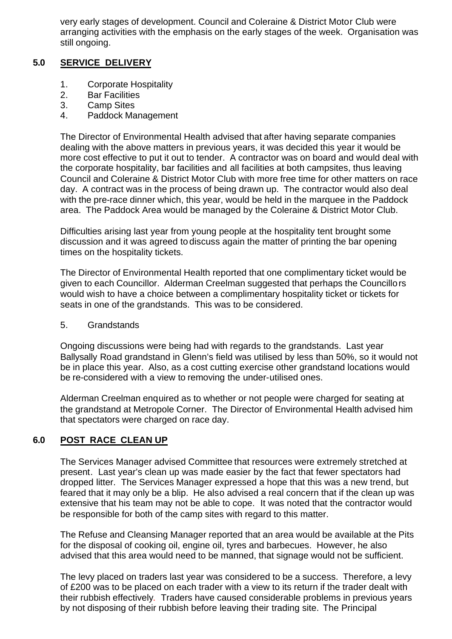very early stages of development. Council and Coleraine & District Motor Club were arranging activities with the emphasis on the early stages of the week. Organisation was still ongoing.

# **5.0 SERVICE DELIVERY**

- 1. Corporate Hospitality
- 2. Bar Facilities
- 3. Camp Sites
- 4. Paddock Management

The Director of Environmental Health advised that after having separate companies dealing with the above matters in previous years, it was decided this year it would be more cost effective to put it out to tender. A contractor was on board and would deal with the corporate hospitality, bar facilities and all facilities at both campsites, thus leaving Council and Coleraine & District Motor Club with more free time for other matters on race day. A contract was in the process of being drawn up. The contractor would also deal with the pre-race dinner which, this year, would be held in the marquee in the Paddock area. The Paddock Area would be managed by the Coleraine & District Motor Club.

Difficulties arising last year from young people at the hospitality tent brought some discussion and it was agreed to discuss again the matter of printing the bar opening times on the hospitality tickets.

The Director of Environmental Health reported that one complimentary ticket would be given to each Councillor. Alderman Creelman suggested that perhaps the Councillors would wish to have a choice between a complimentary hospitality ticket or tickets for seats in one of the grandstands. This was to be considered.

5. Grandstands

Ongoing discussions were being had with regards to the grandstands. Last year Ballysally Road grandstand in Glenn's field was utilised by less than 50%, so it would not be in place this year. Also, as a cost cutting exercise other grandstand locations would be re-considered with a view to removing the under-utilised ones.

Alderman Creelman enquired as to whether or not people were charged for seating at the grandstand at Metropole Corner. The Director of Environmental Health advised him that spectators were charged on race day.

# **6.0 POST RACE CLEAN UP**

The Services Manager advised Committee that resources were extremely stretched at present. Last year's clean up was made easier by the fact that fewer spectators had dropped litter. The Services Manager expressed a hope that this was a new trend, but feared that it may only be a blip. He also advised a real concern that if the clean up was extensive that his team may not be able to cope. It was noted that the contractor would be responsible for both of the camp sites with regard to this matter.

The Refuse and Cleansing Manager reported that an area would be available at the Pits for the disposal of cooking oil, engine oil, tyres and barbecues. However, he also advised that this area would need to be manned, that signage would not be sufficient.

The levy placed on traders last year was considered to be a success. Therefore, a levy of £200 was to be placed on each trader with a view to its return if the trader dealt with their rubbish effectively. Traders have caused considerable problems in previous years by not disposing of their rubbish before leaving their trading site. The Principal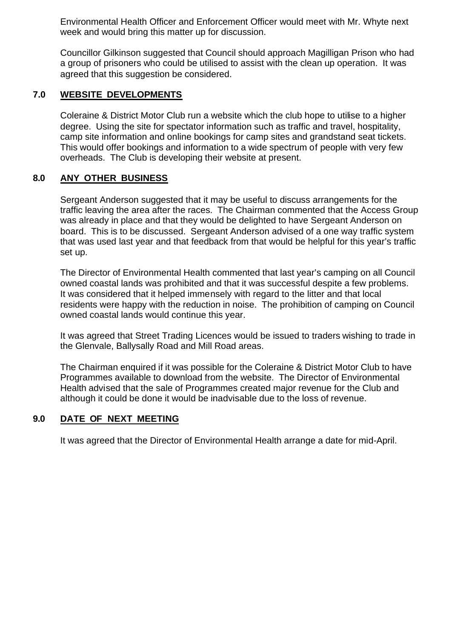Environmental Health Officer and Enforcement Officer would meet with Mr. Whyte next week and would bring this matter up for discussion.

Councillor Gilkinson suggested that Council should approach Magilligan Prison who had a group of prisoners who could be utilised to assist with the clean up operation. It was agreed that this suggestion be considered.

# **7.0 WEBSITE DEVELOPMENTS**

Coleraine & District Motor Club run a website which the club hope to utilise to a higher degree. Using the site for spectator information such as traffic and travel, hospitality, camp site information and online bookings for camp sites and grandstand seat tickets. This would offer bookings and information to a wide spectrum of people with very few overheads. The Club is developing their website at present.

# **8.0 ANY OTHER BUSINESS**

Sergeant Anderson suggested that it may be useful to discuss arrangements for the traffic leaving the area after the races. The Chairman commented that the Access Group was already in place and that they would be delighted to have Sergeant Anderson on board. This is to be discussed. Sergeant Anderson advised of a one way traffic system that was used last year and that feedback from that would be helpful for this year's traffic set up.

The Director of Environmental Health commented that last year's camping on all Council owned coastal lands was prohibited and that it was successful despite a few problems. It was considered that it helped immensely with regard to the litter and that local residents were happy with the reduction in noise. The prohibition of camping on Council owned coastal lands would continue this year.

It was agreed that Street Trading Licences would be issued to traders wishing to trade in the Glenvale, Ballysally Road and Mill Road areas.

The Chairman enquired if it was possible for the Coleraine & District Motor Club to have Programmes available to download from the website. The Director of Environmental Health advised that the sale of Programmes created major revenue for the Club and although it could be done it would be inadvisable due to the loss of revenue.

# **9.0 DATE OF NEXT MEETING**

It was agreed that the Director of Environmental Health arrange a date for mid-April.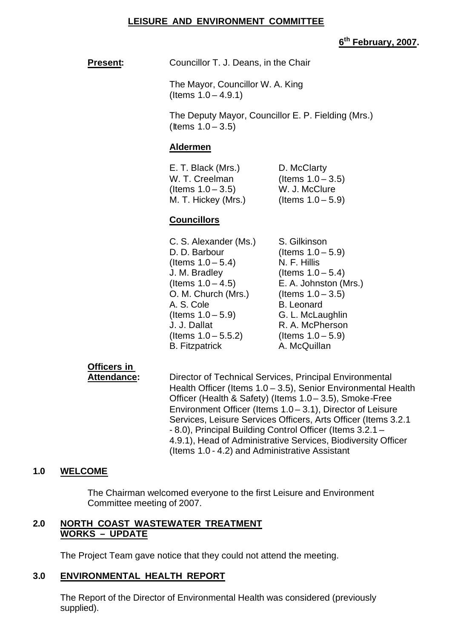#### **LEISURE AND ENVIRONMENT COMMITTEE**

### **6 th February, 2007.**

**Present:** Councillor T. J. Deans, in the Chair

The Mayor, Councillor W. A. King (Items 1.0 – 4.9.1)

The Deputy Mayor, Councillor E. P. Fielding (Mrs.)  $($ ltems  $1.0 - 3.5)$ 

#### **Aldermen**

| E. T. Black (Mrs.)   | D. McClarty          |
|----------------------|----------------------|
| W. T. Creelman       | (Items $1.0 - 3.5$ ) |
| (Items $1.0 - 3.5$ ) | W. J. McClure        |
| M. T. Hickey (Mrs.)  | (Items $1.0 - 5.9$ ) |

#### **Councillors**

| C. S. Alexander (Ms.)  | S. Gilkinson          |
|------------------------|-----------------------|
| D. D. Barbour          | (Items $1.0 - 5.9$ )  |
| (Items $1.0 - 5.4$ )   | N. F. Hillis          |
| J. M. Bradley          | (Items $1.0 - 5.4$ )  |
| (Items $1.0 - 4.5$ )   | E. A. Johnston (Mrs.) |
| O. M. Church (Mrs.)    | (Items $1.0 - 3.5$ )  |
| A. S. Cole             | <b>B.</b> Leonard     |
| (Items $1.0 - 5.9$ )   | G. L. McLaughlin      |
| J. J. Dallat           | R. A. McPherson       |
| (Items $1.0 - 5.5.2$ ) | (Items $1.0 - 5.9$ )  |
| <b>B.</b> Fitzpatrick  | A. McQuillan          |

# **Officers in**

**Attendance:** Director of Technical Services, Principal Environmental Health Officer (Items 1.0 – 3.5), Senior Environmental Health Officer (Health & Safety) (Items 1.0 – 3.5), Smoke-Free Environment Officer (Items 1.0 – 3.1), Director of Leisure Services, Leisure Services Officers, Arts Officer (Items 3.2.1 - 8.0), Principal Building Control Officer (Items 3.2.1 – 4.9.1), Head of Administrative Services, Biodiversity Officer (Items 1.0 - 4.2) and Administrative Assistant

# **1.0 WELCOME**

The Chairman welcomed everyone to the first Leisure and Environment Committee meeting of 2007.

#### **2.0 NORTH COAST WASTEWATER TREATMENT WORKS – UPDATE**

The Project Team gave notice that they could not attend the meeting.

#### **3.0 ENVIRONMENTAL HEALTH REPORT**

The Report of the Director of Environmental Health was considered (previously supplied).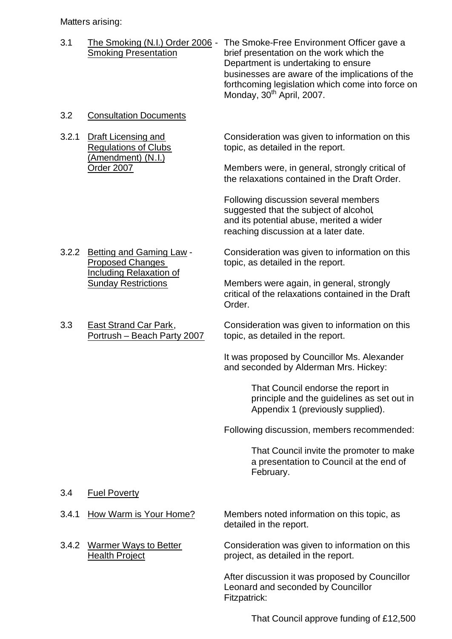Matters arising:

| 3.1 | The Smoking (N.I.) Order 2006 -<br><b>Smoking Presentation</b> | The Smoke-Free Environment Officer gave a<br>brief presentation on the work which the<br>Department is undertaking to ensure<br>businesses are aware of the implications of the<br>forthcoming legislation which come into force on<br>Monday, 30 <sup>th</sup> April, 2007. |
|-----|----------------------------------------------------------------|------------------------------------------------------------------------------------------------------------------------------------------------------------------------------------------------------------------------------------------------------------------------------|
| 3.2 | <b>Consultation Documents</b>                                  |                                                                                                                                                                                                                                                                              |

(Amendment) (N.I.)

3.2.1 Draft Licensing and Consideration was given to information on this Regulations of Clubs topic, as detailed in the report.

Order 2007 Members were, in general, strongly critical of the relaxations contained in the Draft Order.

> Following discussion several members suggested that the subject of alcohol, and its potential abuse, merited a wider reaching discussion at a later date.

Including Relaxation of

3.2.2 Betting and Gaming Law - Consideration was given to information on this Proposed Changes topic, as detailed in the report.

Sunday Restrictions Members were again, in general, strongly critical of the relaxations contained in the Draft Order.

3.3 East Strand Car Park, Consideration was given to information on this Portrush – Beach Party 2007 topic, as detailed in the report.

> It was proposed by Councillor Ms. Alexander and seconded by Alderman Mrs. Hickey:

> > That Council endorse the report in principle and the guidelines as set out in Appendix 1 (previously supplied).

Following discussion, members recommended:

That Council invite the promoter to make a presentation to Council at the end of February.

- 3.4 Fuel Poverty
- 
- 

3.4.1 How Warm is Your Home? Members noted information on this topic, as detailed in the report.

3.4.2 Warmer Ways to Better Consideration was given to information on this Health Project project, as detailed in the report.

> After discussion it was proposed by Councillor Leonard and seconded by Councillor Fitzpatrick:

> > That Council approve funding of £12,500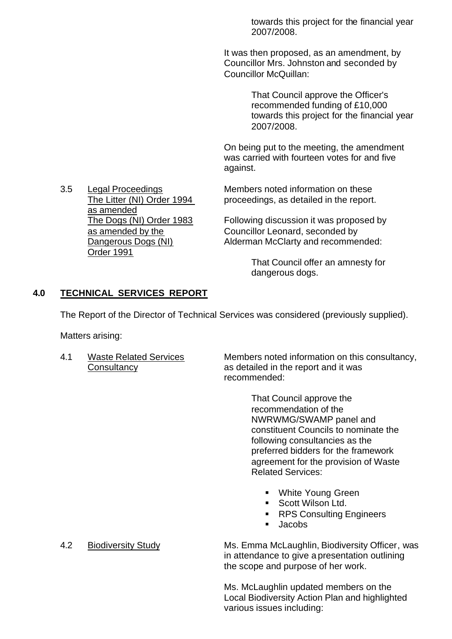towards this project for the financial year 2007/2008.

It was then proposed, as an amendment, by Councillor Mrs. Johnston and seconded by Councillor McQuillan:

> That Council approve the Officer's recommended funding of £10,000 towards this project for the financial year 2007/2008.

On being put to the meeting, the amendment was carried with fourteen votes for and five against.

3.5 Legal Proceedings Members noted information on these The Litter (NI) Order 1994 proceedings, as detailed in the report.

The Dogs (NI) Order 1983 Following discussion it was proposed by as amended by the Councillor Leonard, seconded by Dangerous Dogs (NI) Alderman McClarty and recommended:

> That Council offer an amnesty for dangerous dogs.

#### **4.0 TECHNICAL SERVICES REPORT**

The Report of the Director of Technical Services was considered (previously supplied).

Matters arising:

4.1 Waste Related Services Members noted information on this consultancy, Consultancy as detailed in the report and it was recommended:

> That Council approve the recommendation of the NWRWMG/SWAMP panel and constituent Councils to nominate the following consultancies as the preferred bidders for the framework agreement for the provision of Waste Related Services:

- White Young Green
- **Scott Wilson Ltd.**
- ß RPS Consulting Engineers
- $\blacksquare$  Jacobs

4.2 Biodiversity Study Ms. Emma McLaughlin, Biodiversity Officer, was in attendance to give a presentation outlining the scope and purpose of her work.

> Ms. McLaughlin updated members on the Local Biodiversity Action Plan and highlighted various issues including:

as amended Order 1991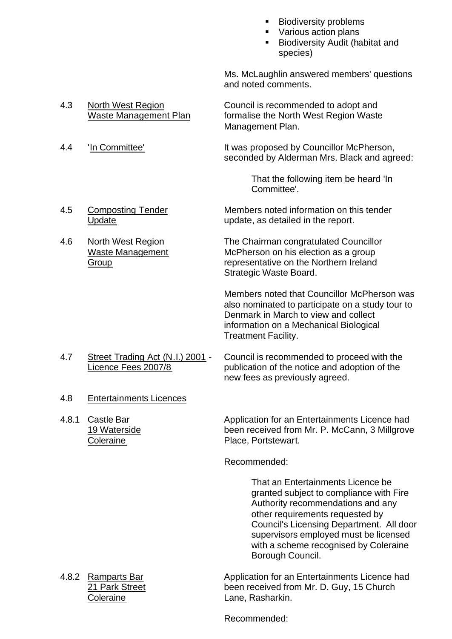- ß Biodiversity problems
- ß Various action plans
- ß Biodiversity Audit (habitat and species)

Ms. McLaughlin answered members' questions and noted comments.

4.3 North West Region Council is recommended to adopt and Waste Management Plan formalise the North West Region Waste Management Plan.

4.4 'In Committee' It was proposed by Councillor McPherson, seconded by Alderman Mrs. Black and agreed:

> That the following item be heard 'In Committee'.

# 4.5 Composting Tender Members noted information on this tender Update Update, as detailed in the report.

4.6 North West Region The Chairman congratulated Councillor Waste Management McPherson on his election as a group Group representative on the Northern Ireland Strategic Waste Board.

> Members noted that Councillor McPherson was also nominated to participate on a study tour to Denmark in March to view and collect information on a Mechanical Biological Treatment Facility.

- 4.7 Street Trading Act (N.I.) 2001 Council is recommended to proceed with the Licence Fees 2007/8 publication of the notice and adoption of the new fees as previously agreed.
- 4.8 Entertainments Licences
- 

4.8.1 Castle Bar Application for an Entertainments Licence had 19 Waterside been received from Mr. P. McCann, 3 Millgrove Coleraine **Place, Portstewart.** 

Recommended:

That an Entertainments Licence be granted subject to compliance with Fire Authority recommendations and any other requirements requested by Council's Licensing Department. All door supervisors employed must be licensed with a scheme recognised by Coleraine Borough Council.

4.8.2 Ramparts Bar Application for an Entertainments Licence had 21 Park Street been received from Mr. D. Guy, 15 Church Coleraine Lane, Rasharkin.

Recommended: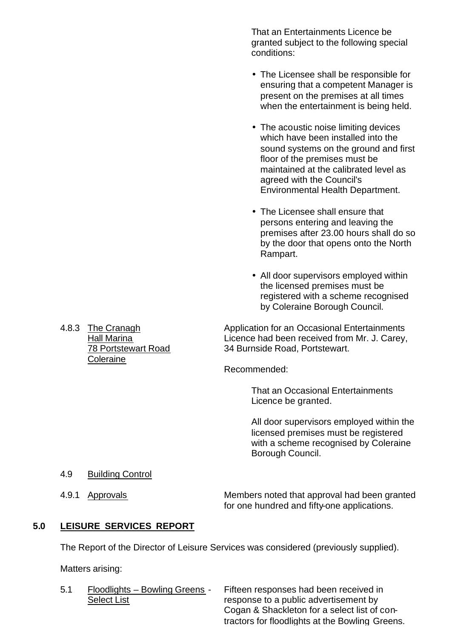That an Entertainments Licence be granted subject to the following special conditions:

- The Licensee shall be responsible for ensuring that a competent Manager is present on the premises at all times when the entertainment is being held.
- The acoustic noise limiting devices which have been installed into the sound systems on the ground and first floor of the premises must be maintained at the calibrated level as agreed with the Council's Environmental Health Department.
- The Licensee shall ensure that persons entering and leaving the premises after 23.00 hours shall do so by the door that opens onto the North Rampart.
- All door supervisors employed within the licensed premises must be registered with a scheme recognised by Coleraine Borough Council.

4.8.3 The Cranagh Application for an Occasional Entertainments Hall Marina **Licence had been received from Mr. J. Carey**, 78 Portstewart Road 34 Burnside Road, Portstewart.

Recommended:

That an Occasional Entertainments Licence be granted.

All door supervisors employed within the licensed premises must be registered with a scheme recognised by Coleraine Borough Council.

- 4.9 Building Control
- 

4.9.1 Approvals Members noted that approval had been granted for one hundred and fifty-one applications.

#### **5.0 LEISURE SERVICES REPORT**

The Report of the Director of Leisure Services was considered (previously supplied).

Matters arising:

5.1 Floodlights – Bowling Greens - Fifteen responses had been received in Select List response to a public advertisement by Cogan & Shackleton for a select list of contractors for floodlights at the Bowling Greens.

**Coleraine**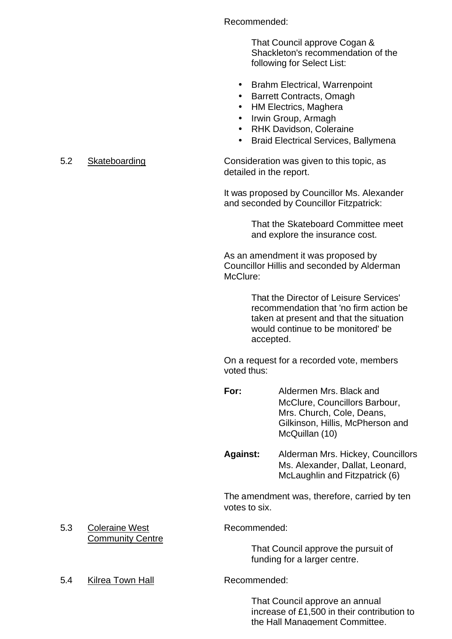Recommended:

That Council approve Cogan & Shackleton's recommendation of the following for Select List:

- Brahm Electrical, Warrenpoint
- Barrett Contracts, Omagh
- HM Electrics, Maghera
- Irwin Group, Armagh
- RHK Davidson, Coleraine
- Braid Electrical Services, Ballymena

5.2 Skateboarding Consideration was given to this topic, as detailed in the report.

> It was proposed by Councillor Ms. Alexander and seconded by Councillor Fitzpatrick:

> > That the Skateboard Committee meet and explore the insurance cost.

As an amendment it was proposed by Councillor Hillis and seconded by Alderman McClure:

> That the Director of Leisure Services' recommendation that 'no firm action be taken at present and that the situation would continue to be monitored' be accepted.

On a request for a recorded vote, members voted thus:

- **For:** Aldermen Mrs. Black and McClure, Councillors Barbour, Mrs. Church, Cole, Deans, Gilkinson, Hillis, McPherson and McQuillan (10)
- **Against:** Alderman Mrs. Hickey, Councillors Ms. Alexander, Dallat, Leonard, McLaughlin and Fitzpatrick (6)

The amendment was, therefore, carried by ten votes to six.

5.3 Coleraine West Recommended:

That Council approve the pursuit of funding for a larger centre.

5.4 Kilrea Town Hall Recommended:

Community Centre

That Council approve an annual increase of £1,500 in their contribution to the Hall Management Committee.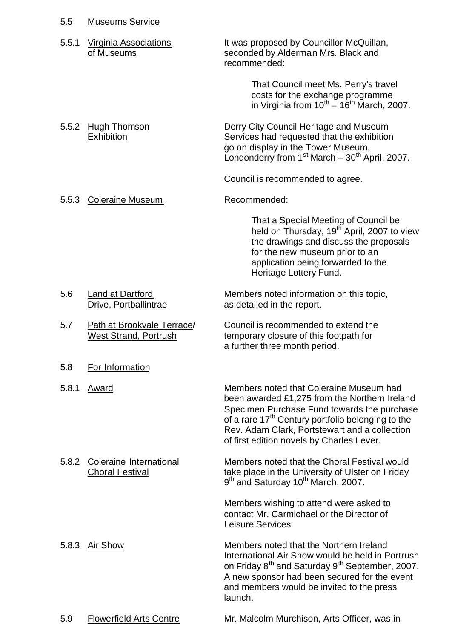| It was proposed by Councillor McQuillan,<br>seconded by Alderman Mrs. Black and<br>That Council meet Ms. Perry's travel<br>costs for the exchange programme<br>in Virginia from $10^{th} - 16^{th}$ March, 2007.<br>Derry City Council Heritage and Museum<br>Services had requested that the exhibition<br>go on display in the Tower Museum,<br>Londonderry from $1st March - 30th April, 2007$ .<br>Council is recommended to agree. |
|-----------------------------------------------------------------------------------------------------------------------------------------------------------------------------------------------------------------------------------------------------------------------------------------------------------------------------------------------------------------------------------------------------------------------------------------|
|                                                                                                                                                                                                                                                                                                                                                                                                                                         |
|                                                                                                                                                                                                                                                                                                                                                                                                                                         |
|                                                                                                                                                                                                                                                                                                                                                                                                                                         |
|                                                                                                                                                                                                                                                                                                                                                                                                                                         |
|                                                                                                                                                                                                                                                                                                                                                                                                                                         |
| That a Special Meeting of Council be<br>held on Thursday, 19 <sup>th</sup> April, 2007 to view<br>the drawings and discuss the proposals<br>for the new museum prior to an<br>application being forwarded to the<br>Heritage Lottery Fund.                                                                                                                                                                                              |
| Members noted information on this topic,                                                                                                                                                                                                                                                                                                                                                                                                |
| Council is recommended to extend the<br>temporary closure of this footpath for<br>a further three month period.                                                                                                                                                                                                                                                                                                                         |
|                                                                                                                                                                                                                                                                                                                                                                                                                                         |
| Members noted that Coleraine Museum had<br>been awarded £1,275 from the Northern Ireland<br>Specimen Purchase Fund towards the purchase<br>of a rare 17 <sup>th</sup> Century portfolio belonging to the<br>Rev. Adam Clark, Portstewart and a collection<br>of first edition novels by Charles Lever.                                                                                                                                  |
| Members noted that the Choral Festival would<br>take place in the University of Ulster on Friday<br>9 <sup>th</sup> and Saturday 10 <sup>th</sup> March, 2007.                                                                                                                                                                                                                                                                          |
| Members wishing to attend were asked to<br>contact Mr. Carmichael or the Director of                                                                                                                                                                                                                                                                                                                                                    |
|                                                                                                                                                                                                                                                                                                                                                                                                                                         |
|                                                                                                                                                                                                                                                                                                                                                                                                                                         |

5.9 Flowerfield Arts Centre Mr. Malcolm Murchison, Arts Officer, was in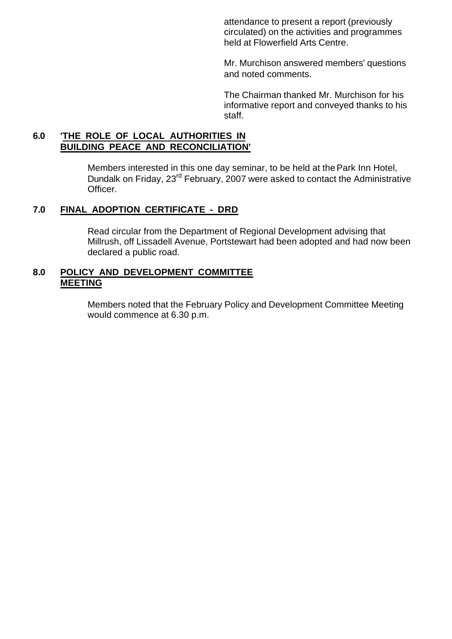attendance to present a report (previously circulated) on the activities and programmes held at Flowerfield Arts Centre.

Mr. Murchison answered members' questions and noted comments.

The Chairman thanked Mr. Murchison for his informative report and conveyed thanks to his staff.

#### **6.0 'THE ROLE OF LOCAL AUTHORITIES IN BUILDING PEACE AND RECONCILIATION'**

Members interested in this one day seminar, to be held at the Park Inn Hotel, Dundalk on Friday, 23rd February, 2007 were asked to contact the Administrative Officer.

# **7.0 FINAL ADOPTION CERTIFICATE - DRD**

Read circular from the Department of Regional Development advising that Millrush, off Lissadell Avenue, Portstewart had been adopted and had now been declared a public road.

#### **8.0 POLICY AND DEVELOPMENT COMMITTEE MEETING**

Members noted that the February Policy and Development Committee Meeting would commence at 6.30 p.m.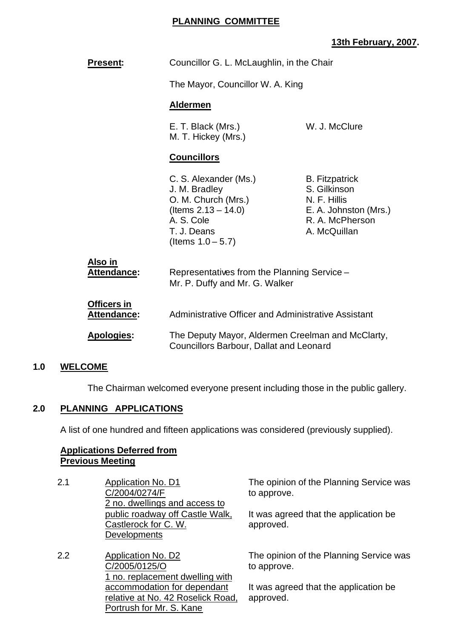### **PLANNING COMMITTEE**

# **13th February, 2007.**

| <b>Present:</b>                          | Councillor G. L. McLaughlin, in the Chair                                                                                                    |                                                                                                                   |  |  |
|------------------------------------------|----------------------------------------------------------------------------------------------------------------------------------------------|-------------------------------------------------------------------------------------------------------------------|--|--|
|                                          | The Mayor, Councillor W. A. King                                                                                                             |                                                                                                                   |  |  |
|                                          | <b>Aldermen</b>                                                                                                                              |                                                                                                                   |  |  |
|                                          | W. J. McClure<br>E. T. Black (Mrs.)<br>M. T. Hickey (Mrs.)                                                                                   |                                                                                                                   |  |  |
|                                          | <b>Councillors</b>                                                                                                                           |                                                                                                                   |  |  |
|                                          | C. S. Alexander (Ms.)<br>J. M. Bradley<br>O. M. Church (Mrs.)<br>(Items $2.13 - 14.0$ )<br>A. S. Cole<br>T. J. Deans<br>(Items $1.0 - 5.7$ ) | <b>B.</b> Fitzpatrick<br>S. Gilkinson<br>N. F. Hillis<br>E. A. Johnston (Mrs.)<br>R. A. McPherson<br>A. McQuillan |  |  |
| <u>Also in</u><br><b>Attendance:</b>     | Representatives from the Planning Service -<br>Mr. P. Duffy and Mr. G. Walker                                                                |                                                                                                                   |  |  |
| <b>Officers in</b><br><u>Attendance:</u> | Administrative Officer and Administrative Assistant                                                                                          |                                                                                                                   |  |  |
| <b>Apologies:</b>                        | The Deputy Mayor, Aldermen Creelman and McClarty,<br><b>Councillors Barbour, Dallat and Leonard</b>                                          |                                                                                                                   |  |  |

#### **1.0 WELCOME**

The Chairman welcomed everyone present including those in the public gallery.

#### **2.0 PLANNING APPLICATIONS**

A list of one hundred and fifteen applications was considered (previously supplied).

#### **Applications Deferred from Previous Meeting**

- 2.1 Application No. D1 C/2004/0274/F 2 no. dwellings and access to public roadway off Castle Walk, Castlerock for C. W. **Developments**
- 2.2 Application No. D2 C/2005/0125/O 1 no. replacement dwelling with accommodation for dependant relative at No. 42 Roselick Road, Portrush for Mr. S. Kane

The opinion of the Planning Service was to approve.

It was agreed that the application be approved.

The opinion of the Planning Service was to approve.

It was agreed that the application be approved.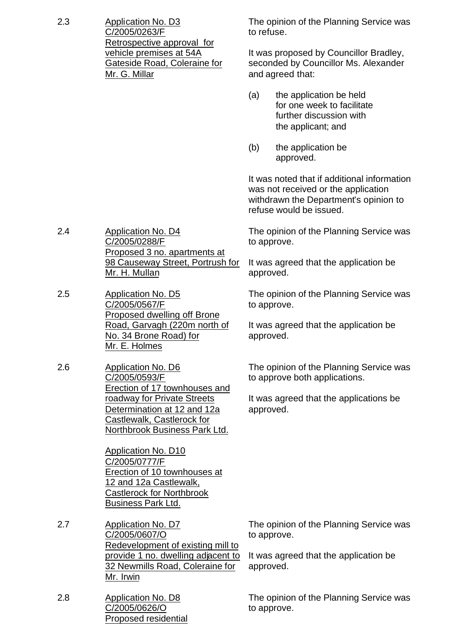| 2.3 | <b>Application No. D3</b><br>C/2005/0263/F<br>Retrospective approval for<br>vehicle premises at 54A<br>Gateside Road, Coleraine for<br>Mr. G. Millar                   | The opinion of the Planning Service was<br>to refuse.                                              |                                                                                                                                                        |  |  |
|-----|------------------------------------------------------------------------------------------------------------------------------------------------------------------------|----------------------------------------------------------------------------------------------------|--------------------------------------------------------------------------------------------------------------------------------------------------------|--|--|
|     |                                                                                                                                                                        | It was proposed by Councillor Bradley,<br>seconded by Councillor Ms. Alexander<br>and agreed that: |                                                                                                                                                        |  |  |
|     |                                                                                                                                                                        | (a)                                                                                                | the application be held<br>for one week to facilitate<br>further discussion with<br>the applicant; and                                                 |  |  |
|     |                                                                                                                                                                        | (b)                                                                                                | the application be<br>approved.                                                                                                                        |  |  |
|     |                                                                                                                                                                        |                                                                                                    | It was noted that if additional information<br>was not received or the application<br>withdrawn the Department's opinion to<br>refuse would be issued. |  |  |
| 2.4 | <b>Application No. D4</b><br>C/2005/0288/F                                                                                                                             |                                                                                                    | The opinion of the Planning Service was<br>to approve.                                                                                                 |  |  |
|     | Proposed 3 no. apartments at<br>98 Causeway Street, Portrush for<br>Mr. H. Mullan                                                                                      | It was agreed that the application be<br>approved.                                                 |                                                                                                                                                        |  |  |
| 2.5 | <b>Application No. D5</b><br>C/2005/0567/F                                                                                                                             | The opinion of the Planning Service was<br>to approve.                                             |                                                                                                                                                        |  |  |
|     | Proposed dwelling off Brone<br>Road, Garvagh (220m north of<br>No. 34 Brone Road) for<br>Mr. E. Holmes                                                                 | It was agreed that the application be<br>approved.                                                 |                                                                                                                                                        |  |  |
| 2.6 | <b>Application No. D6</b><br>C/2005/0593/F<br>Erection of 17 townhouses and                                                                                            |                                                                                                    | The opinion of the Planning Service was<br>to approve both applications.                                                                               |  |  |
|     | roadway for Private Streets<br>Determination at 12 and 12a<br>Castlewalk, Castlerock for<br><b>Northbrook Business Park Ltd.</b>                                       |                                                                                                    | It was agreed that the applications be<br>approved.                                                                                                    |  |  |
|     | <b>Application No. D10</b><br>C/2005/0777/F<br>Erection of 10 townhouses at<br>12 and 12a Castlewalk,<br><b>Castlerock for Northbrook</b><br><b>Business Park Ltd.</b> |                                                                                                    |                                                                                                                                                        |  |  |
| 2.7 | <b>Application No. D7</b><br>C/2005/0607/O<br>Redevelopment of existing mill to                                                                                        | to approve.                                                                                        | The opinion of the Planning Service was                                                                                                                |  |  |
|     | provide 1 no. dwelling adjacent to<br>32 Newmills Road, Coleraine for<br>Mr. Irwin                                                                                     |                                                                                                    | It was agreed that the application be<br>approved.                                                                                                     |  |  |
| 2.8 | <b>Application No. D8</b><br>C/2005/0626/O<br><b>Proposed residential</b>                                                                                              | to approve.                                                                                        | The opinion of the Planning Service was                                                                                                                |  |  |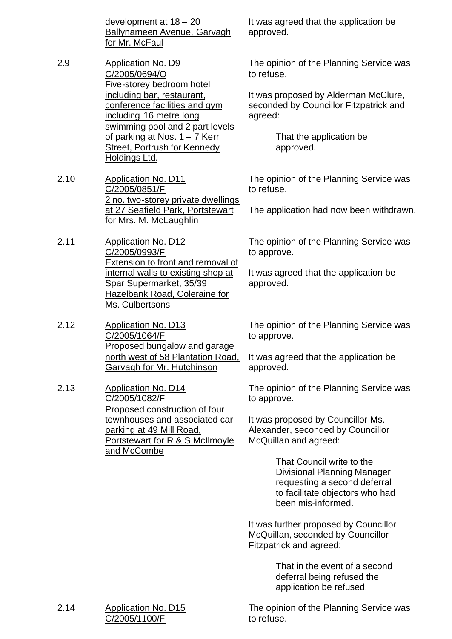development at 18 – 20 Ballynameen Avenue, Garvagh for Mr. McFaul

- 2.9 Application No. D9 C/2005/0694/O Five-storey bedroom hotel including bar, restaurant, conference facilities and gym including 16 metre long swimming pool and 2 part levels of parking at Nos. 1 – 7 Kerr Street, Portrush for Kennedy Holdings Ltd.
- 2.10 Application No. D11 C/2005/0851/F 2 no. two-storey private dwellings at 27 Seafield Park, Portstewart for Mrs. M. McLaughlin
- 2.11 Application No. D12 C/2005/0993/F Extension to front and removal of internal walls to existing shop at Spar Supermarket, 35/39 Hazelbank Road, Coleraine for Ms. Culbertsons
- 2.12 Application No. D13 C/2005/1064/F Proposed bungalow and garage north west of 58 Plantation Road, Garvagh for Mr. Hutchinson
- 2.13 Application No. D14 C/2005/1082/F Proposed construction of four townhouses and associated car parking at 49 Mill Road, Portstewart for R & S McIlmoyle and McCombe

It was agreed that the application be approved.

The opinion of the Planning Service was to refuse.

It was proposed by Alderman McClure, seconded by Councillor Fitzpatrick and agreed:

> That the application be approved.

The opinion of the Planning Service was to refuse.

The application had now been withdrawn.

The opinion of the Planning Service was to approve.

It was agreed that the application be approved.

The opinion of the Planning Service was to approve.

It was agreed that the application be approved.

The opinion of the Planning Service was to approve.

It was proposed by Councillor Ms. Alexander, seconded by Councillor McQuillan and agreed:

> That Council write to the Divisional Planning Manager requesting a second deferral to facilitate objectors who had been mis-informed.

It was further proposed by Councillor McQuillan, seconded by Councillor Fitzpatrick and agreed:

> That in the event of a second deferral being refused the application be refused.

The opinion of the Planning Service was to refuse.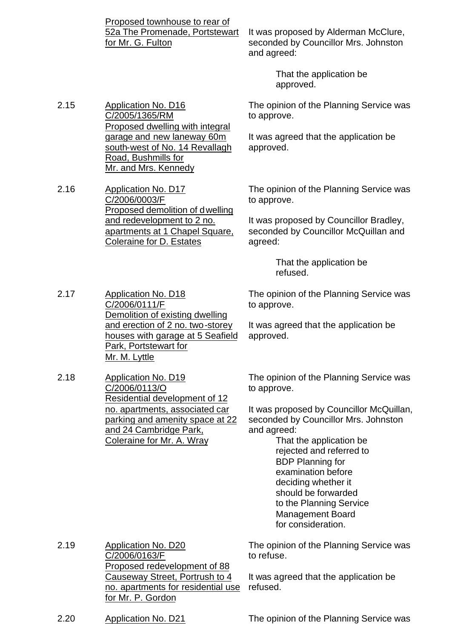Proposed townhouse to rear of 52a The Promenade, Portstewart for Mr. G. Fulton

Proposed dwelling with integral garage and new laneway 60m south-west of No. 14 Revallagh

and redevelopment to 2 no. apartments at 1 Chapel Square,

Coleraine for D. Estates

2.15 Application No. D16

2.16 Application No. D17

C/2006/0003/F

C/2005/1365/RM

Road, Bushmills for Mr. and Mrs. Kennedy It was proposed by Alderman McClure, seconded by Councillor Mrs. Johnston and agreed:

> That the application be approved.

The opinion of the Planning Service was to approve.

It was agreed that the application be approved.

Proposed demolition of dwelling The opinion of the Planning Service was to approve.

> It was proposed by Councillor Bradley, seconded by Councillor McQuillan and agreed:

> > That the application be refused.

The opinion of the Planning Service was to approve.

It was agreed that the application be approved.

2.17 Application No. D18 C/2006/0111/F Demolition of existing dwelling and erection of 2 no. two-storey houses with garage at 5 Seafield Park, Portstewart for Mr. M. Lyttle

2.18 Application No. D19 C/2006/0113/O Residential development of 12 no. apartments, associated car parking and amenity space at 22 and 24 Cambridge Park, Coleraine for Mr. A. Wray

The opinion of the Planning Service was to approve.

It was proposed by Councillor McQuillan, seconded by Councillor Mrs. Johnston and agreed:

> That the application be rejected and referred to BDP Planning for examination before deciding whether it should be forwarded to the Planning Service Management Board for consideration.

2.19 Application No. D20 C/2006/0163/F Proposed redevelopment of 88 Causeway Street, Portrush to 4 no. apartments for residential use for Mr. P. Gordon

The opinion of the Planning Service was to refuse.

It was agreed that the application be refused.

2.20 Application No. D21 The opinion of the Planning Service was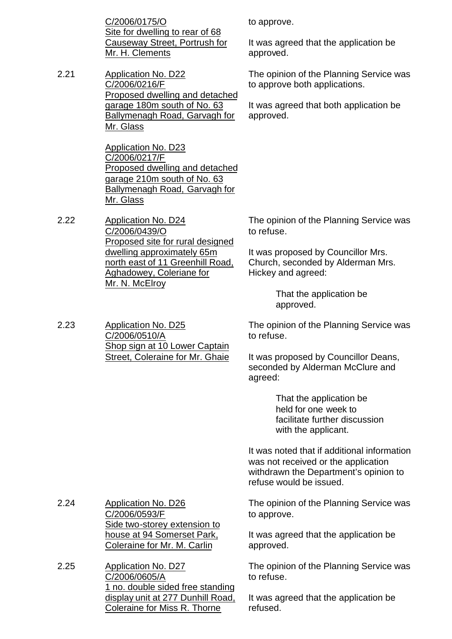C/2006/0175/O Site for dwelling to rear of 68 Causeway Street, Portrush for Mr. H. Clements

2.21 Application No. D22 C/2006/0216/F Proposed dwelling and detached garage 180m south of No. 63 Ballymenagh Road, Garvagh for Mr. Glass

> Application No. D23 C/2006/0217/F Proposed dwelling and detached garage 210m south of No. 63 Ballymenagh Road, Garvagh for Mr. Glass

2.22 Application No. D24 C/2006/0439/O Proposed site for rural designed dwelling approximately 65m north east of 11 Greenhill Road, Aghadowey, Coleriane for Mr. N. McElroy

2.23 Application No. D25 C/2006/0510/A Shop sign at 10 Lower Captain Street, Coleraine for Mr. Ghaie to approve.

It was agreed that the application be approved.

The opinion of the Planning Service was to approve both applications.

It was agreed that both application be approved.

The opinion of the Planning Service was to refuse.

It was proposed by Councillor Mrs. Church, seconded by Alderman Mrs. Hickey and agreed:

> That the application be approved.

The opinion of the Planning Service was to refuse.

It was proposed by Councillor Deans, seconded by Alderman McClure and agreed:

> That the application be held for one week to facilitate further discussion with the applicant.

It was noted that if additional information was not received or the application withdrawn the Department's opinion to refuse would be issued.

The opinion of the Planning Service was to approve.

> It was agreed that the application be approved.

The opinion of the Planning Service was to refuse.

It was agreed that the application be refused.

- 2.24 Application No. D26 C/2006/0593/F Side two-storey extension to house at 94 Somerset Park, Coleraine for Mr. M. Carlin
- 2.25 Application No. D27 C/2006/0605/A 1 no. double sided free standing display unit at 277 Dunhill Road, Coleraine for Miss R. Thorne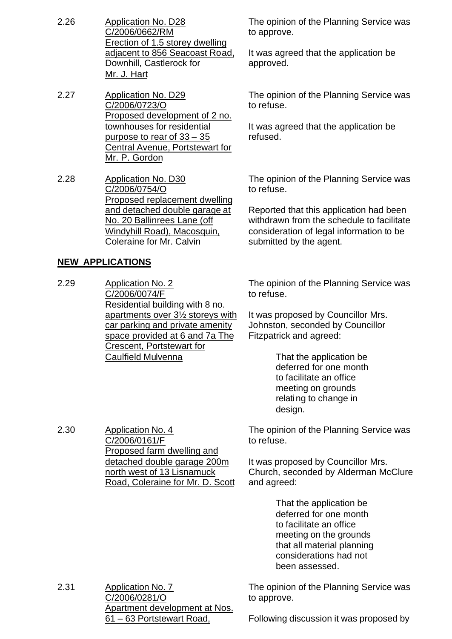- 2.26 Application No. D28 C/2006/0662/RM Erection of 1.5 storey dwelling adjacent to 856 Seacoast Road, Downhill, Castlerock for Mr. J. Hart
- 2.27 Application No. D29 C/2006/0723/O Proposed development of 2 no. townhouses for residential purpose to rear of 33 – 35 Central Avenue, Portstewart for Mr. P. Gordon
- 2.28 Application No. D30 C/2006/0754/O Proposed replacement dwelling and detached double garage at No. 20 Ballinrees Lane (off Windyhill Road), Macosquin, Coleraine for Mr. Calvin

# **NEW APPLICATIONS**

2.30 Application No. 4

C/2006/0161/F

Proposed farm dwelling and detached double garage 200m north west of 13 Lisnamuck Road, Coleraine for Mr. D. Scott

2.29 Application No. 2 C/2006/0074/F Residential building with 8 no. apartments over 31/2 storeys with car parking and private amenity space provided at 6 and 7a The Crescent, Portstewart for Caulfield Mulvenna

The opinion of the Planning Service was to approve.

It was agreed that the application be approved.

The opinion of the Planning Service was to refuse.

It was agreed that the application be refused.

The opinion of the Planning Service was to refuse.

Reported that this application had been withdrawn from the schedule to facilitate consideration of legal information to be submitted by the agent.

The opinion of the Planning Service was to refuse.

It was proposed by Councillor Mrs. Johnston, seconded by Councillor Fitzpatrick and agreed:

> That the application be deferred for one month to facilitate an office meeting on grounds relating to change in design.

The opinion of the Planning Service was to refuse.

It was proposed by Councillor Mrs. Church, seconded by Alderman McClure and agreed:

> That the application be deferred for one month to facilitate an office meeting on the grounds that all material planning considerations had not been assessed.

2.31 Application No. 7 C/2006/0281/O Apartment development at Nos. 61 – 63 Portstewart Road,

The opinion of the Planning Service was to approve.

Following discussion it was proposed by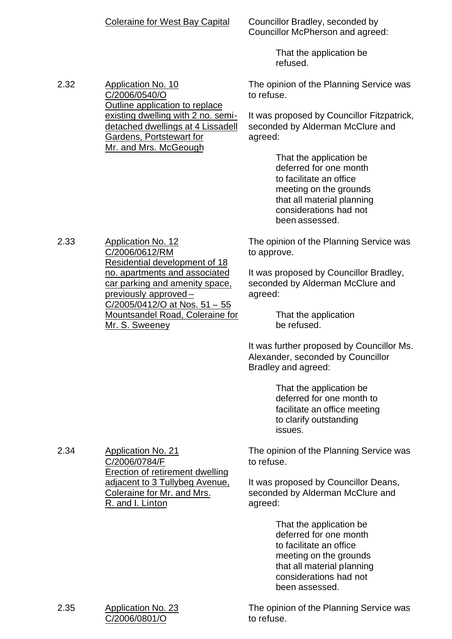|      | <b>Coleraine for West Bay Capital</b>                                                                                                                                                | Councillor Bradley, seconded by<br>Councillor McPherson and agreed:                                                                                                              |
|------|--------------------------------------------------------------------------------------------------------------------------------------------------------------------------------------|----------------------------------------------------------------------------------------------------------------------------------------------------------------------------------|
|      |                                                                                                                                                                                      | That the application be<br>refused.                                                                                                                                              |
| 2.32 | <b>Application No. 10</b><br>C/2006/0540/O<br>Outline application to replace                                                                                                         | The opinion of the Planning Service was<br>to refuse.                                                                                                                            |
|      | existing dwelling with 2 no. semi-<br>detached dwellings at 4 Lissadell<br>Gardens, Portstewart for<br>Mr. and Mrs. McGeough                                                         | It was proposed by Councillor Fitzpatrick,<br>seconded by Alderman McClure and<br>agreed:                                                                                        |
|      |                                                                                                                                                                                      | That the application be<br>deferred for one month<br>to facilitate an office<br>meeting on the grounds<br>that all material planning<br>considerations had not<br>been assessed. |
| 2.33 | <b>Application No. 12</b><br>C/2006/0612/RM<br>Residential development of 18                                                                                                         | The opinion of the Planning Service was<br>to approve.                                                                                                                           |
|      | no. apartments and associated<br>car parking and amenity space,<br>previously approved-<br><u>C/2005/0412/O at Nos. 51 - 55</u><br>Mountsandel Road, Coleraine for<br>Mr. S. Sweeney | It was proposed by Councillor Bradley,<br>seconded by Alderman McClure and<br>agreed:                                                                                            |
|      |                                                                                                                                                                                      | That the application<br>be refused.                                                                                                                                              |
|      |                                                                                                                                                                                      | It was further proposed by Councillor Ms.<br>Alexander, seconded by Councillor<br>Bradley and agreed:                                                                            |
|      |                                                                                                                                                                                      | That the application be<br>deferred for one month to<br>facilitate an office meeting<br>to clarify outstanding<br>issues.                                                        |
| 2.34 | <b>Application No. 21</b><br>C/2006/0784/F<br><b>Erection of retirement dwelling</b>                                                                                                 | The opinion of the Planning Service was<br>to refuse.                                                                                                                            |
|      | adjacent to 3 Tullybeg Avenue,<br>Coleraine for Mr. and Mrs.<br>R. and I. Linton                                                                                                     | It was proposed by Councillor Deans,<br>seconded by Alderman McClure and<br>agreed:                                                                                              |
|      |                                                                                                                                                                                      | That the application be<br>deferred for one month<br>to facilitate an office<br>meeting on the grounds<br>that all material planning<br>considerations had not<br>been assessed. |
| 2.35 | <b>Application No. 23</b><br>C/2006/0801/O                                                                                                                                           | The opinion of the Planning Service was<br>to refuse.                                                                                                                            |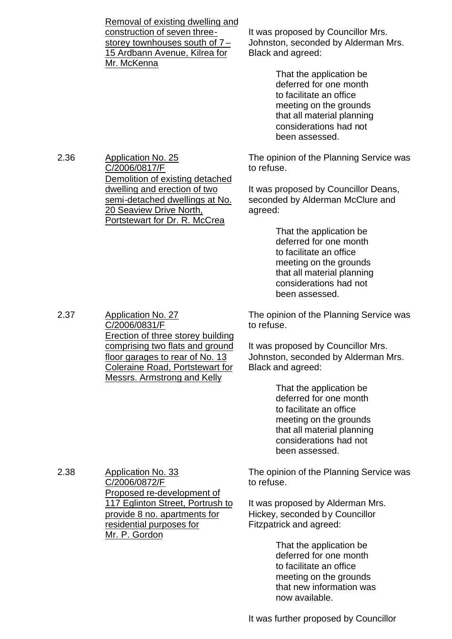Removal of existing dwelling and construction of seven threestorey townhouses south of 7 – 15 Ardbann Avenue, Kilrea for Mr. McKenna

It was proposed by Councillor Mrs. Johnston, seconded by Alderman Mrs. Black and agreed:

> That the application be deferred for one month to facilitate an office meeting on the grounds that all material planning considerations had not been assessed.

The opinion of the Planning Service was to refuse.

It was proposed by Councillor Deans, seconded by Alderman McClure and agreed:

> That the application be deferred for one month to facilitate an office meeting on the grounds that all material planning considerations had not been assessed.

The opinion of the Planning Service was to refuse.

It was proposed by Councillor Mrs. Johnston, seconded by Alderman Mrs. Black and agreed:

> That the application be deferred for one month to facilitate an office meeting on the grounds that all material planning considerations had not been assessed.

The opinion of the Planning Service was to refuse.

It was proposed by Alderman Mrs. Hickey, seconded by Councillor Fitzpatrick and agreed:

> That the application be deferred for one month to facilitate an office meeting on the grounds that new information was now available.

2.36 Application No. 25 C/2006/0817/F Demolition of existing detached dwelling and erection of two semi-detached dwellings at No. 20 Seaview Drive North, Portstewart for Dr. R. McCrea

2.37 Application No. 27

C/2006/0831/F Erection of three storey building comprising two flats and ground floor garages to rear of No. 13 Coleraine Road, Portstewart for Messrs. Armstrong and Kelly

2.38 Application No. 33

C/2006/0872/F

Mr. P. Gordon

Proposed re-development of 117 Eglinton Street, Portrush to provide 8 no. apartments for residential purposes for

It was further proposed by Councillor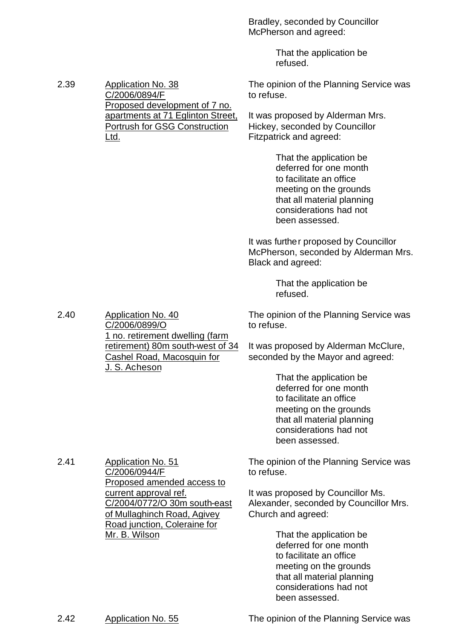Bradley, seconded by Councillor McPherson and agreed:

to refuse.

That the application be refused.

It was proposed by Alderman Mrs. Hickey, seconded by Councillor

The opinion of the Planning Service was

2.39 Application No. 38 C/2006/0894/F Proposed development of 7 no. apartments at 71 Eglinton Street, Portrush for GSG Construction Ltd.

Fitzpatrick and agreed: That the application be deferred for one month to facilitate an office meeting on the grounds

that all material planning considerations had not been assessed.

It was further proposed by Councillor McPherson, seconded by Alderman Mrs. Black and agreed:

> That the application be refused.

The opinion of the Planning Service was to refuse.

It was proposed by Alderman McClure, seconded by the Mayor and agreed:

> That the application be deferred for one month to facilitate an office meeting on the grounds that all material planning considerations had not been assessed.

The opinion of the Planning Service was to refuse.

It was proposed by Councillor Ms. Alexander, seconded by Councillor Mrs. Church and agreed:

> That the application be deferred for one month to facilitate an office meeting on the grounds that all material planning considerations had not been assessed.

C/2006/0899/O 1 no. retirement dwelling (farm retirement) 80m south-west of 34 Cashel Road, Macosquin for J. S. Acheson

2.40 Application No. 40

2.41 Application No. 51 C/2006/0944/F Proposed amended access to current approval ref. C/2004/0772/O 30m south-east of Mullaghinch Road, Agivey Road junction, Coleraine for Mr. B. Wilson

2.42 Application No. 55 The opinion of the Planning Service was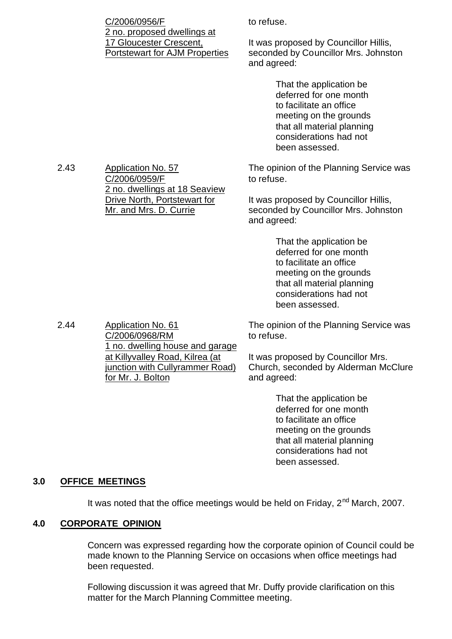| C/2006/0956/F                                                                                   | to refuse.                                                                                                                                                                       |  |  |
|-------------------------------------------------------------------------------------------------|----------------------------------------------------------------------------------------------------------------------------------------------------------------------------------|--|--|
| 2 no. proposed dwellings at<br>17 Gloucester Crescent,<br><b>Portstewart for AJM Properties</b> | It was proposed by Councillor Hillis,<br>seconded by Councillor Mrs. Johnston<br>and agreed:                                                                                     |  |  |
|                                                                                                 | That the application be<br>deferred for one month<br>to facilitate an office<br>meeting on the grounds<br>that all material planning<br>considerations had not<br>been assessed. |  |  |
| <b>Application No. 57</b><br>C/2006/0959/F<br>2 no. dwellings at 18 Seaview                     | The opinion of the Planning Service was<br>to refuse.                                                                                                                            |  |  |
| Drive North, Portstewart for<br>Mr. and Mrs. D. Currie                                          | It was proposed by Councillor Hillis,<br>seconded by Councillor Mrs. Johnston<br>and agreed:                                                                                     |  |  |
|                                                                                                 | That the application be<br>deferred for one month<br>to facilitate an office<br>meeting on the grounds<br>that all material planning<br>considerations had not                   |  |  |

2.44 Application No. 61 C/2006/0968/RM 1 no. dwelling house and garage at Killyvalley Road, Kilrea (at junction with Cullyrammer Road) for Mr. J. Bolton

The opinion of the Planning Service was to refuse.

been assessed.

It was proposed by Councillor Mrs. Church, seconded by Alderman McClure and agreed:

> That the application be deferred for one month to facilitate an office meeting on the grounds that all material planning considerations had not been assessed.

#### **3.0 OFFICE MEETINGS**

 $2.43$ 

It was noted that the office meetings would be held on Friday, 2<sup>nd</sup> March, 2007.

#### **4.0 CORPORATE OPINION**

Concern was expressed regarding how the corporate opinion of Council could be made known to the Planning Service on occasions when office meetings had been requested.

Following discussion it was agreed that Mr. Duffy provide clarification on this matter for the March Planning Committee meeting.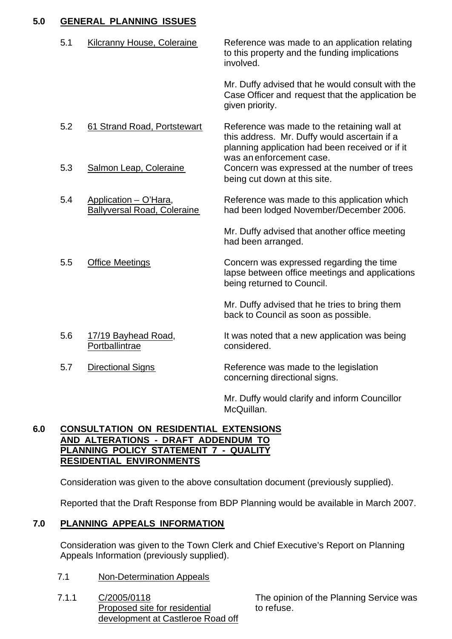# **5.0 GENERAL PLANNING ISSUES**

| 5.1 | <b>Kilcranny House, Coleraine</b>                           | Reference was made to an application relating<br>to this property and the funding implications<br>involved.                                    |
|-----|-------------------------------------------------------------|------------------------------------------------------------------------------------------------------------------------------------------------|
|     |                                                             | Mr. Duffy advised that he would consult with the<br>Case Officer and request that the application be<br>given priority.                        |
| 5.2 | 61 Strand Road, Portstewart                                 | Reference was made to the retaining wall at<br>this address. Mr. Duffy would ascertain if a<br>planning application had been received or if it |
| 5.3 | Salmon Leap, Coleraine                                      | was an enforcement case.<br>Concern was expressed at the number of trees<br>being cut down at this site.                                       |
| 5.4 | Application - O'Hara,<br><b>Ballyversal Road, Coleraine</b> | Reference was made to this application which<br>had been lodged November/December 2006.                                                        |
|     |                                                             | Mr. Duffy advised that another office meeting<br>had been arranged.                                                                            |
| 5.5 | <b>Office Meetings</b>                                      | Concern was expressed regarding the time<br>lapse between office meetings and applications<br>being returned to Council.                       |
|     |                                                             | Mr. Duffy advised that he tries to bring them<br>back to Council as soon as possible.                                                          |
| 5.6 | 17/19 Bayhead Road,<br>Portballintrae                       | It was noted that a new application was being<br>considered.                                                                                   |
| 5.7 | <b>Directional Signs</b>                                    | Reference was made to the legislation<br>concerning directional signs.                                                                         |
|     |                                                             | Mr. Duffy would clarify and inform Councillor                                                                                                  |

### **6.0 CONSULTATION ON RESIDENTIAL EXTENSIONS AND ALTERATIONS - DRAFT ADDENDUM TO PLANNING POLICY STATEMENT 7 - QUALITY RESIDENTIAL ENVIRONMENTS**

Consideration was given to the above consultation document (previously supplied).

Reported that the Draft Response from BDP Planning would be available in March 2007.

McQuillan.

# **7.0 PLANNING APPEALS INFORMATION**

Consideration was given to the Town Clerk and Chief Executive's Report on Planning Appeals Information (previously supplied).

- 7.1 Non-Determination Appeals
- 7.1.1 C/2005/0118 Proposed site for residential development at Castleroe Road off

The opinion of the Planning Service was to refuse.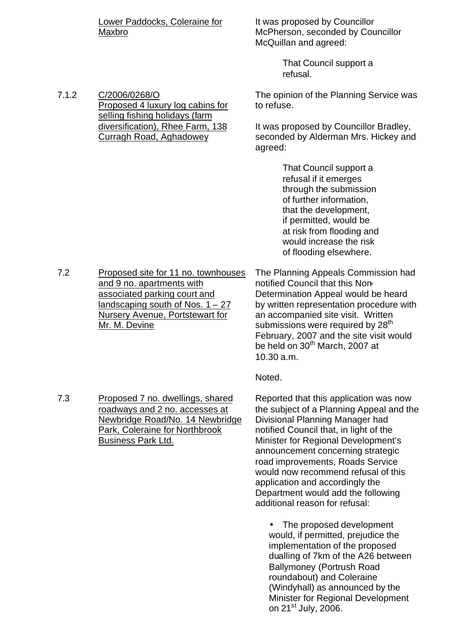Lower Paddocks, Coleraine for Maxbro

It was proposed by Councillor McPherson, seconded by Councillor McQuillan and agreed:

> That Council support a refusal.

The opinion of the Planning Service was to refuse.

It was proposed by Councillor Bradley, seconded by Alderman Mrs. Hickey and agreed:

> That Council support a refusal if it emerges through the submission of further information, that the development, if permitted, would be at risk from flooding and would increase the risk of flooding elsewhere.

7.2 Proposed site for 11 no. townhouses and 9 no. apartments with associated parking court and landscaping south of Nos.  $1 - 27$ Nursery Avenue, Portstewart for Mr. M. Devine

The Planning Appeals Commission had notified Council that this Non-Determination Appeal would be heard by written representation procedure with an accompanied site visit. Written submissions were required by 28<sup>th</sup> February, 2007 and the site visit would be held on 30<sup>th</sup> March, 2007 at 10.30 a.m.

Noted.

Reported that this application was now the subject of a Planning Appeal and the Divisional Planning Manager had notified Council that, in light of the Minister for Regional Development's announcement concerning strategic road improvements, Roads Service would now recommend refusal of this application and accordingly the Department would add the following additional reason for refusal:

• The proposed development would, if permitted, prejudice the implementation of the proposed dualling of 7km of the A26 between Ballymoney (Portrush Road roundabout) and Coleraine (Windyhall) as announced by the Minister for Regional Development on 21st July, 2006.

- 
- 7.3 Proposed 7 no. dwellings, shared roadways and 2 no. accesses at Newbridge Road/No. 14 Newbridge Park, Coleraine for Northbrook Business Park Ltd.

7.1.2 C/2006/0268/O Proposed 4 luxury log cabins for selling fishing holidays (farm diversification), Rhee Farm, 138 Curragh Road, Aghadowey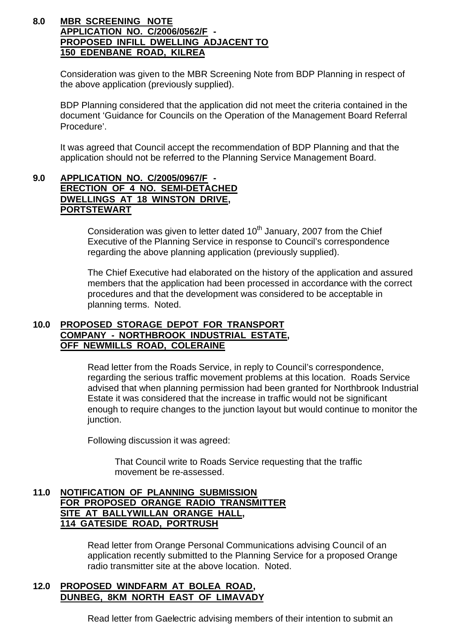#### **8.0 MBR SCREENING NOTE APPLICATION NO. C/2006/0562/F - PROPOSED INFILL DWELLING ADJACENT TO 150 EDENBANE ROAD, KILREA**

Consideration was given to the MBR Screening Note from BDP Planning in respect of the above application (previously supplied).

BDP Planning considered that the application did not meet the criteria contained in the document 'Guidance for Councils on the Operation of the Management Board Referral Procedure'.

It was agreed that Council accept the recommendation of BDP Planning and that the application should not be referred to the Planning Service Management Board.

# **9.0 APPLICATION NO. C/2005/0967/F - ERECTION OF 4 NO. SEMI-DETACHED DWELLINGS AT 18 WINSTON DRIVE, PORTSTEWART**

Consideration was given to letter dated  $10<sup>th</sup>$  January, 2007 from the Chief Executive of the Planning Service in response to Council's correspondence regarding the above planning application (previously supplied).

The Chief Executive had elaborated on the history of the application and assured members that the application had been processed in accordance with the correct procedures and that the development was considered to be acceptable in planning terms. Noted.

### **10.0 PROPOSED STORAGE DEPOT FOR TRANSPORT COMPANY - NORTHBROOK INDUSTRIAL ESTATE, OFF NEWMILLS ROAD, COLERAINE**

Read letter from the Roads Service, in reply to Council's correspondence, regarding the serious traffic movement problems at this location. Roads Service advised that when planning permission had been granted for Northbrook Industrial Estate it was considered that the increase in traffic would not be significant enough to require changes to the junction layout but would continue to monitor the junction.

Following discussion it was agreed:

That Council write to Roads Service requesting that the traffic movement be re-assessed.

### **11.0 NOTIFICATION OF PLANNING SUBMISSION FOR PROPOSED ORANGE RADIO TRANSMITTER SITE AT BALLYWILLAN ORANGE HALL, 114 GATESIDE ROAD, PORTRUSH**

Read letter from Orange Personal Communications advising Council of an application recently submitted to the Planning Service for a proposed Orange radio transmitter site at the above location. Noted.

#### **12.0 PROPOSED WINDFARM AT BOLEA ROAD, DUNBEG, 8KM NORTH EAST OF LIMAVADY**

Read letter from Gaelectric advising members of their intention to submit an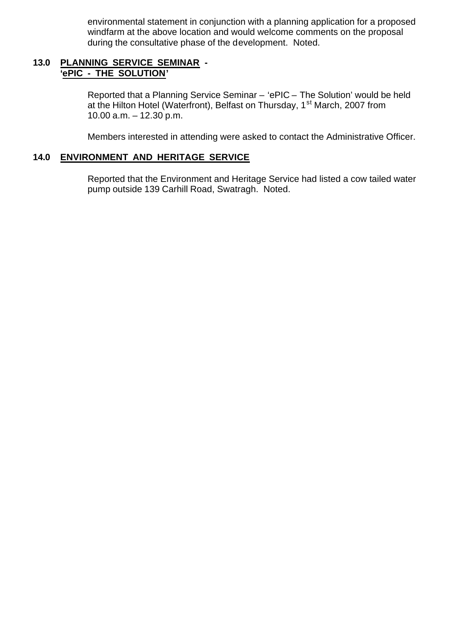environmental statement in conjunction with a planning application for a proposed windfarm at the above location and would welcome comments on the proposal during the consultative phase of the development. Noted.

#### **13.0 PLANNING SERVICE SEMINAR - 'ePIC - THE SOLUTION'**

Reported that a Planning Service Seminar – 'ePIC – The Solution' would be held at the Hilton Hotel (Waterfront), Belfast on Thursday, 1<sup>st</sup> March, 2007 from 10.00 a.m. – 12.30 p.m.

Members interested in attending were asked to contact the Administrative Officer.

### **14.0 ENVIRONMENT AND HERITAGE SERVICE**

Reported that the Environment and Heritage Service had listed a cow tailed water pump outside 139 Carhill Road, Swatragh. Noted.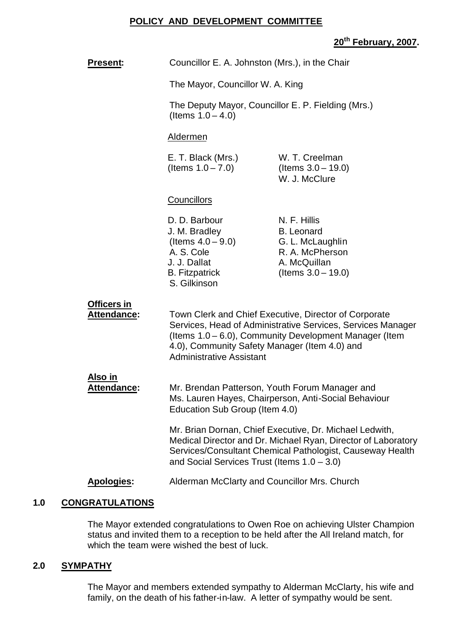#### **POLICY AND DEVELOPMENT COMMITTEE**

# **20th February, 2007.**

|     | <b>Present:</b>                      | Councillor E. A. Johnston (Mrs.), in the Chair                                                                                                                                                                                                                     |                                                                                                                   |
|-----|--------------------------------------|--------------------------------------------------------------------------------------------------------------------------------------------------------------------------------------------------------------------------------------------------------------------|-------------------------------------------------------------------------------------------------------------------|
|     |                                      | The Mayor, Councillor W. A. King                                                                                                                                                                                                                                   |                                                                                                                   |
|     |                                      | The Deputy Mayor, Councillor E. P. Fielding (Mrs.)<br>(Items $1.0 - 4.0$ )                                                                                                                                                                                         |                                                                                                                   |
|     |                                      | Aldermen                                                                                                                                                                                                                                                           |                                                                                                                   |
|     |                                      | E. T. Black (Mrs.)<br>(Items $1.0 - 7.0$ )                                                                                                                                                                                                                         | W. T. Creelman<br>(Items $3.0 - 19.0$ )<br>W. J. McClure                                                          |
|     |                                      | <b>Councillors</b>                                                                                                                                                                                                                                                 |                                                                                                                   |
|     |                                      | D. D. Barbour<br>J. M. Bradley<br>(Items $4.0 - 9.0$ )<br>A. S. Cole<br>J. J. Dallat<br><b>B.</b> Fitzpatrick<br>S. Gilkinson                                                                                                                                      | N. F. Hillis<br><b>B.</b> Leonard<br>G. L. McLaughlin<br>R. A. McPherson<br>A. McQuillan<br>(Items $3.0 - 19.0$ ) |
|     | Officers in<br>Attendance:           | Town Clerk and Chief Executive, Director of Corporate<br>Services, Head of Administrative Services, Services Manager<br>(Items 1.0 – 6.0), Community Development Manager (Item<br>4.0), Community Safety Manager (Item 4.0) and<br><b>Administrative Assistant</b> |                                                                                                                   |
|     | <u>Also in</u><br><b>Attendance:</b> | Mr. Brendan Patterson, Youth Forum Manager and<br>Ms. Lauren Hayes, Chairperson, Anti-Social Behaviour<br>Education Sub Group (Item 4.0)                                                                                                                           |                                                                                                                   |
|     |                                      | Mr. Brian Dornan, Chief Executive, Dr. Michael Ledwith,<br>Medical Director and Dr. Michael Ryan, Director of Laboratory<br>Services/Consultant Chemical Pathologist, Causeway Health<br>and Social Services Trust (Items $1.0 - 3.0$ )                            |                                                                                                                   |
|     | <b>Apologies:</b>                    | Alderman McClarty and Councillor Mrs. Church                                                                                                                                                                                                                       |                                                                                                                   |
| 1.0 | <b>CONGRATULATIONS</b>               |                                                                                                                                                                                                                                                                    |                                                                                                                   |

The Mayor extended congratulations to Owen Roe on achieving Ulster Champion status and invited them to a reception to be held after the All Ireland match, for which the team were wished the best of luck.

# **2.0 SYMPATHY**

The Mayor and members extended sympathy to Alderman McClarty, his wife and family, on the death of his father-in-law. A letter of sympathy would be sent.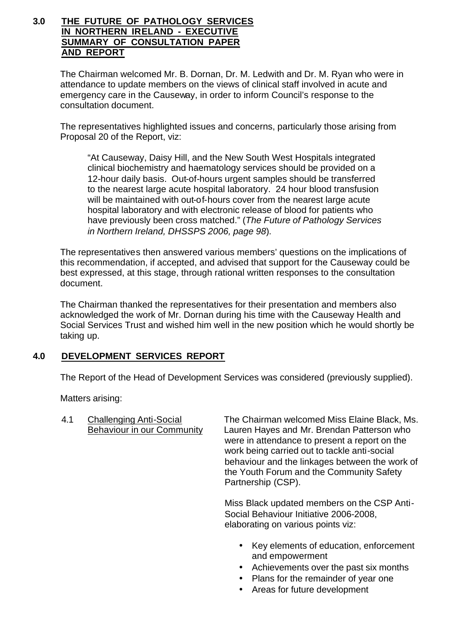### **3.0 THE FUTURE OF PATHOLOGY SERVICES IN NORTHERN IRELAND - EXECUTIVE SUMMARY OF CONSULTATION PAPER AND REPORT**

The Chairman welcomed Mr. B. Dornan, Dr. M. Ledwith and Dr. M. Ryan who were in attendance to update members on the views of clinical staff involved in acute and emergency care in the Causeway, in order to inform Council's response to the consultation document.

The representatives highlighted issues and concerns, particularly those arising from Proposal 20 of the Report, viz:

"At Causeway, Daisy Hill, and the New South West Hospitals integrated clinical biochemistry and haematology services should be provided on a 12-hour daily basis. Out-of-hours urgent samples should be transferred to the nearest large acute hospital laboratory. 24 hour blood transfusion will be maintained with out-of-hours cover from the nearest large acute hospital laboratory and with electronic release of blood for patients who have previously been cross matched." (*The Future of Pathology Services in Northern Ireland, DHSSPS 2006, page 98*).

The representatives then answered various members' questions on the implications of this recommendation, if accepted, and advised that support for the Causeway could be best expressed, at this stage, through rational written responses to the consultation document.

The Chairman thanked the representatives for their presentation and members also acknowledged the work of Mr. Dornan during his time with the Causeway Health and Social Services Trust and wished him well in the new position which he would shortly be taking up.

# **4.0 DEVELOPMENT SERVICES REPORT**

The Report of the Head of Development Services was considered (previously supplied).

Matters arising:

4.1 Challenging Anti-Social The Chairman welcomed Miss Elaine Black, Ms. Behaviour in our Community Lauren Hayes and Mr. Brendan Patterson who were in attendance to present a report on the work being carried out to tackle anti-social behaviour and the linkages between the work of the Youth Forum and the Community Safety Partnership (CSP).

> Miss Black updated members on the CSP Anti-Social Behaviour Initiative 2006-2008, elaborating on various points viz:

- Key elements of education, enforcement and empowerment
- Achievements over the past six months
- Plans for the remainder of year one
- Areas for future development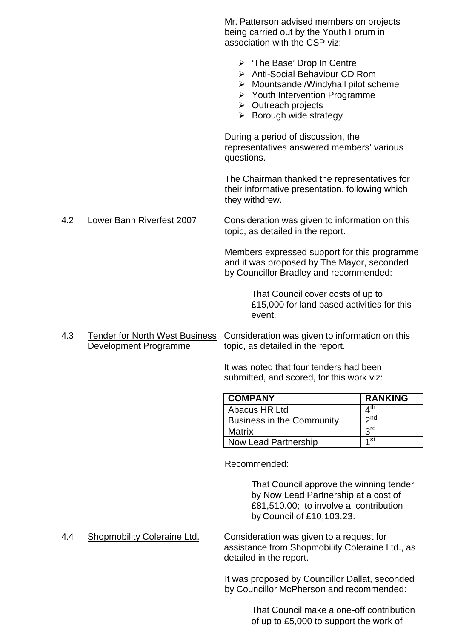Mr. Patterson advised members on projects being carried out by the Youth Forum in association with the CSP viz:  $\triangleright$  'The Base' Drop In Centre ÿ Anti-Social Behaviour CD Rom  $\triangleright$  Mountsandel/Windyhall pilot scheme  $\triangleright$  Youth Intervention Programme  $\triangleright$  Outreach projects  $\triangleright$  Borough wide strategy During a period of discussion, the representatives answered members' various questions. The Chairman thanked the representatives for their informative presentation, following which they withdrew. 4.2 Lower Bann Riverfest 2007 Consideration was given to information on this topic, as detailed in the report. Members expressed support for this programme and it was proposed by The Mayor, seconded by Councillor Bradley and recommended: That Council cover costs of up to £15,000 for land based activities for this event.

4.3 Tender for North West Business Consideration was given to information on this Development Programme topic, as detailed in the report.

> It was noted that four tenders had been submitted, and scored, for this work viz:

| <b>COMPANY</b>                   | <b>RANKING</b>  |
|----------------------------------|-----------------|
| Abacus HR Ltd                    | ⊿ <sup>th</sup> |
| <b>Business in the Community</b> | $\gamma$ nd     |
| Matrix                           | $3^{\text{rd}}$ |
| Now Lead Partnership             | ⊿ st            |

Recommended:

That Council approve the winning tender by Now Lead Partnership at a cost of £81,510.00; to involve a contribution by Council of £10,103.23.

4.4 Shopmobility Coleraine Ltd. Consideration was given to a request for assistance from Shopmobility Coleraine Ltd., as detailed in the report.

> It was proposed by Councillor Dallat, seconded by Councillor McPherson and recommended:

> > That Council make a one-off contribution of up to £5,000 to support the work of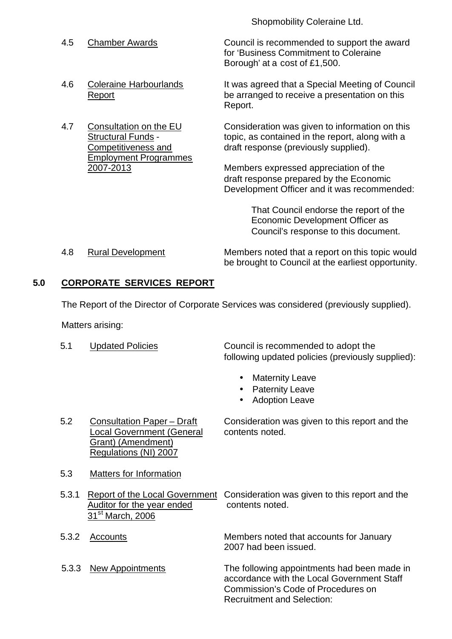Shopmobility Coleraine Ltd.

Employment Programmes

4.5 Chamber Awards Council is recommended to support the award for 'Business Commitment to Coleraine Borough' at a cost of £1,500.

4.6 Coleraine Harbourlands It was agreed that a Special Meeting of Council Report **Report** be arranged to receive a presentation on this Report.

4.7 Consultation on the EU Consideration was given to information on this Structural Funds - topic, as contained in the report, along with a Competitiveness and draft response (previously supplied).

2007-2013 Members expressed appreciation of the draft response prepared by the Economic Development Officer and it was recommended:

> That Council endorse the report of the Economic Development Officer as Council's response to this document.

4.8 Rural Development Members noted that a report on this topic would be brought to Council at the earliest opportunity.

# **5.0 CORPORATE SERVICES REPORT**

The Report of the Director of Corporate Services was considered (previously supplied).

Matters arising:

5.1 Updated Policies Council is recommended to adopt the following updated policies (previously supplied):

- Maternity Leave
- Paternity Leave
- Adoption Leave

5.2 Consultation Paper – Draft Consideration was given to this report and the Local Government (General contents noted. Grant) (Amendment) Regulations (NI) 2007

- 5.3 Matters for Information
- 5.3.1 Report of the Local Government Consideration was given to this report and the Auditor for the year ended contents noted. 31<sup>st</sup> March, 2006
- 
- 

5.3.2 Accounts Members noted that accounts for January 2007 had been issued.

5.3.3 New Appointments The following appointments had been made in accordance with the Local Government Staff Commission's Code of Procedures on Recruitment and Selection: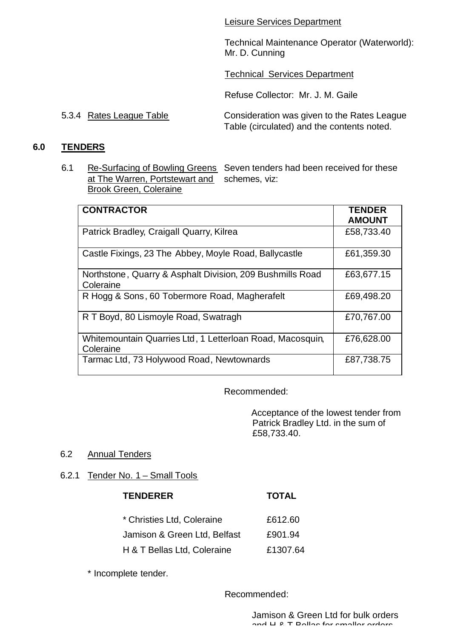Leisure Services Department

Technical Maintenance Operator (Waterworld): Mr. D. Cunning

Technical Services Department

Refuse Collector: Mr. J. M. Gaile

5.3.4 Rates League Table Consideration was given to the Rates League Table (circulated) and the contents noted.

#### **6.0 TENDERS**

6.1 Re-Surfacing of Bowling Greens Seven tenders had been received for these at The Warren, Portstewart and schemes, viz: Brook Green, Coleraine

| <b>CONTRACTOR</b>                                                      | <b>TENDER</b><br><b>AMOUNT</b> |
|------------------------------------------------------------------------|--------------------------------|
| Patrick Bradley, Craigall Quarry, Kilrea                               | £58,733.40                     |
| Castle Fixings, 23 The Abbey, Moyle Road, Ballycastle                  | £61,359.30                     |
| Northstone, Quarry & Asphalt Division, 209 Bushmills Road<br>Coleraine | £63,677.15                     |
| R Hogg & Sons, 60 Tobermore Road, Magherafelt                          | £69,498.20                     |
| R T Boyd, 80 Lismoyle Road, Swatragh                                   | £70,767.00                     |
| Whitemountain Quarries Ltd, 1 Letterloan Road, Macosquin,<br>Coleraine | £76,628.00                     |
| Tarmac Ltd, 73 Holywood Road, Newtownards                              | £87,738.75                     |

Recommended:

Acceptance of the lowest tender from Patrick Bradley Ltd. in the sum of £58,733.40.

#### 6.2 Annual Tenders

6.2.1 Tender No. 1 – Small Tools

| <b>TENDERER</b>              | <b>TOTAL</b> |
|------------------------------|--------------|
| * Christies Ltd, Coleraine   | £612.60      |
| Jamison & Green Ltd, Belfast | £901.94      |
| H & T Bellas Ltd, Coleraine  | £1307.64     |

\* Incomplete tender.

Recommended: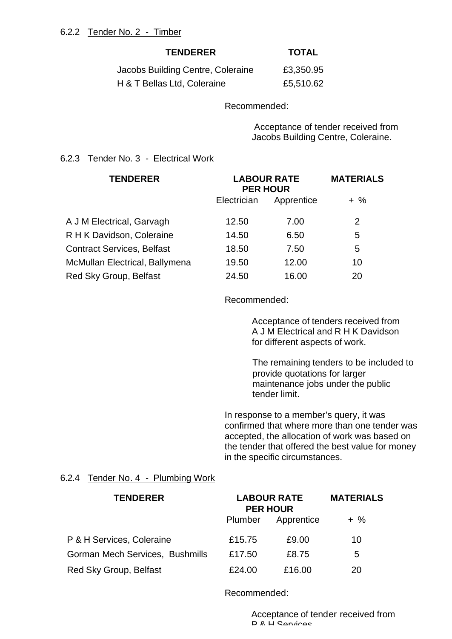#### **TENDERER TOTAL**

| Jacobs Building Centre, Coleraine | £3,350.95 |
|-----------------------------------|-----------|
| H & T Bellas Ltd, Coleraine       | £5,510.62 |

Recommended:

 Acceptance of tender received from Jacobs Building Centre, Coleraine.

#### 6.2.3 Tender No. 3 - Electrical Work

| <b>TENDERER</b>                   | <b>LABOUR RATE</b><br><b>PER HOUR</b> |            | <b>MATERIALS</b> |
|-----------------------------------|---------------------------------------|------------|------------------|
|                                   | Electrician                           | Apprentice | $+$ %            |
| A J M Electrical, Garvagh         | 12.50                                 | 7.00       | 2                |
| R H K Davidson, Coleraine         | 14.50                                 | 6.50       | 5                |
| <b>Contract Services, Belfast</b> | 18.50                                 | 7.50       | 5                |
| McMullan Electrical, Ballymena    | 19.50                                 | 12.00      | 10               |
| Red Sky Group, Belfast            | 24.50                                 | 16.00      | 20               |

Recommended:

Acceptance of tenders received from A J M Electrical and R H K Davidson for different aspects of work.

The remaining tenders to be included to provide quotations for larger maintenance jobs under the public tender limit.

In response to a member's query, it was confirmed that where more than one tender was accepted, the allocation of work was based on the tender that offered the best value for money in the specific circumstances.

#### 6.2.4 Tender No. 4 - Plumbing Work

| <b>TENDERER</b>                 | <b>LABOUR RATE</b><br><b>PER HOUR</b> |            | <b>MATERIALS</b> |  |
|---------------------------------|---------------------------------------|------------|------------------|--|
|                                 | Plumber                               | Apprentice | $+$ %            |  |
| P & H Services, Coleraine       | £15.75                                | £9.00      | 10               |  |
| Gorman Mech Services, Bushmills | £17.50                                | £8.75      | 5                |  |
| Red Sky Group, Belfast          | £24.00                                | £16.00     | 20               |  |

Recommended:

Acceptance of tender received from P & H Services.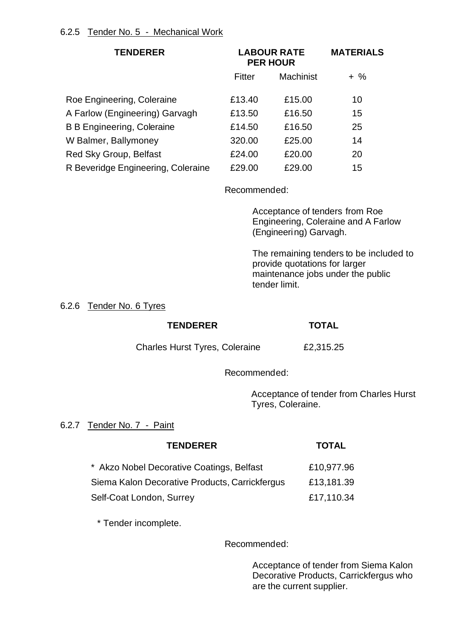| <b>TENDERER</b>                    | <b>LABOUR RATE</b><br><b>PER HOUR</b> |                  | <b>MATERIALS</b> |
|------------------------------------|---------------------------------------|------------------|------------------|
|                                    | Fitter                                | <b>Machinist</b> | $+$ %            |
| Roe Engineering, Coleraine         | £13.40                                | £15.00           | 10               |
| A Farlow (Engineering) Garvagh     | £13.50                                | £16.50           | 15               |
| <b>B B Engineering, Coleraine</b>  | £14.50                                | £16.50           | 25               |
| W Balmer, Ballymoney               | 320.00                                | £25.00           | 14               |
| Red Sky Group, Belfast             | £24.00                                | £20.00           | 20               |
| R Beveridge Engineering, Coleraine | £29.00                                | £29.00           | 15               |

Recommended:

Acceptance of tenders from Roe Engineering, Coleraine and A Farlow (Engineering) Garvagh.

The remaining tenders to be included to provide quotations for larger maintenance jobs under the public tender limit.

6.2.6 Tender No. 6 Tyres

# **TENDERER TOTAL**

Charles Hurst Tyres, Coleraine £2,315.25

Recommended:

Acceptance of tender from Charles Hurst Tyres, Coleraine.

# 6.2.7 Tender No. 7 - Paint

| <b>TENDERER</b>                                | <b>TOTAL</b> |
|------------------------------------------------|--------------|
| * Akzo Nobel Decorative Coatings, Belfast      | £10,977.96   |
| Siema Kalon Decorative Products, Carrickfergus | £13,181.39   |

Self-Coat London, Surrey **E17,110.34** 

\* Tender incomplete.

Recommended:

Acceptance of tender from Siema Kalon Decorative Products, Carrickfergus who are the current supplier.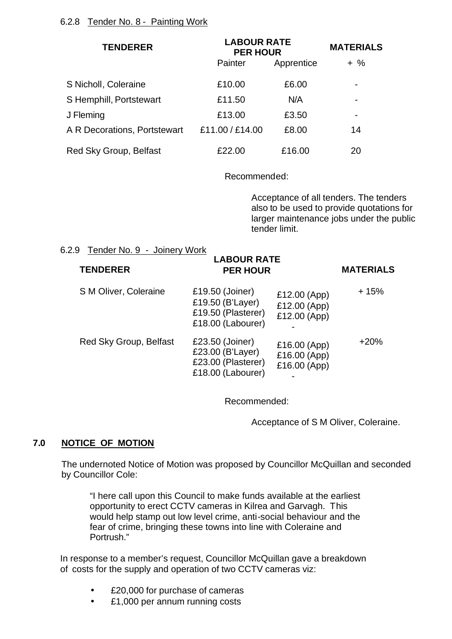| <b>TENDERER</b>              | <b>LABOUR RATE</b><br><b>PER HOUR</b> |            | <b>MATERIALS</b>         |  |
|------------------------------|---------------------------------------|------------|--------------------------|--|
|                              | <b>Painter</b>                        | Apprentice | $+$ %                    |  |
| S Nicholl, Coleraine         | £10.00                                | £6.00      | $\blacksquare$           |  |
| S Hemphill, Portstewart      | £11.50                                | N/A        | -                        |  |
| J Fleming                    | £13.00                                | £3.50      | $\overline{\phantom{0}}$ |  |
| A R Decorations, Portstewart | £11.00 / £14.00                       | £8.00      | 14                       |  |
| Red Sky Group, Belfast       | £22.00                                | £16.00     | 20                       |  |

Recommended:

**LABOUR RATE** 

Acceptance of all tenders. The tenders also to be used to provide quotations for larger maintenance jobs under the public tender limit.

#### 6.2.9 Tender No. 9 - Joinery Work

| <b>TENDERER</b>        | LABOUR RAIE<br><b>PER HOUR</b>                                                 |                                              | <b>MATERIALS</b> |
|------------------------|--------------------------------------------------------------------------------|----------------------------------------------|------------------|
| S M Oliver, Coleraine  | £19.50 (Joiner)<br>£19.50 (B'Layer)<br>£19.50 (Plasterer)<br>£18.00 (Labourer) | £12.00 (App)<br>£12.00 (App)<br>£12.00 (App) | $+15%$           |
| Red Sky Group, Belfast | £23.50 (Joiner)<br>£23.00 (B'Layer)<br>£23.00 (Plasterer)<br>£18.00 (Labourer) | £16.00 (App)<br>£16.00 (App)<br>£16.00 (App) | $+20%$           |

Recommended:

Acceptance of S M Oliver, Coleraine.

# **7.0 NOTICE OF MOTION**

The undernoted Notice of Motion was proposed by Councillor McQuillan and seconded by Councillor Cole:

"I here call upon this Council to make funds available at the earliest opportunity to erect CCTV cameras in Kilrea and Garvagh. This would help stamp out low level crime, anti-social behaviour and the fear of crime, bringing these towns into line with Coleraine and Portrush."

In response to a member's request, Councillor McQuillan gave a breakdown of costs for the supply and operation of two CCTV cameras viz:

- £20,000 for purchase of cameras
- £1,000 per annum running costs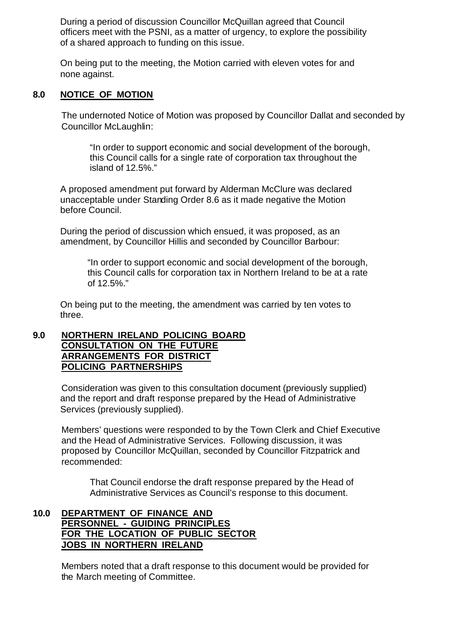During a period of discussion Councillor McQuillan agreed that Council officers meet with the PSNI, as a matter of urgency, to explore the possibility of a shared approach to funding on this issue.

On being put to the meeting, the Motion carried with eleven votes for and none against.

#### **8.0 NOTICE OF MOTION**

The undernoted Notice of Motion was proposed by Councillor Dallat and seconded by Councillor McLaughlin:

"In order to support economic and social development of the borough, this Council calls for a single rate of corporation tax throughout the island of 12.5%."

A proposed amendment put forward by Alderman McClure was declared unacceptable under Standing Order 8.6 as it made negative the Motion before Council.

During the period of discussion which ensued, it was proposed, as an amendment, by Councillor Hillis and seconded by Councillor Barbour:

"In order to support economic and social development of the borough, this Council calls for corporation tax in Northern Ireland to be at a rate of 12.5%."

On being put to the meeting, the amendment was carried by ten votes to three.

#### **9.0 NORTHERN IRELAND POLICING BOARD CONSULTATION ON THE FUTURE ARRANGEMENTS FOR DISTRICT POLICING PARTNERSHIPS**

Consideration was given to this consultation document (previously supplied) and the report and draft response prepared by the Head of Administrative Services (previously supplied).

Members' questions were responded to by the Town Clerk and Chief Executive and the Head of Administrative Services. Following discussion, it was proposed by Councillor McQuillan, seconded by Councillor Fitzpatrick and recommended:

That Council endorse the draft response prepared by the Head of Administrative Services as Council's response to this document.

## **10.0 DEPARTMENT OF FINANCE AND PERSONNEL - GUIDING PRINCIPLES FOR THE LOCATION OF PUBLIC SECTOR JOBS IN NORTHERN IRELAND**

Members noted that a draft response to this document would be provided for the March meeting of Committee.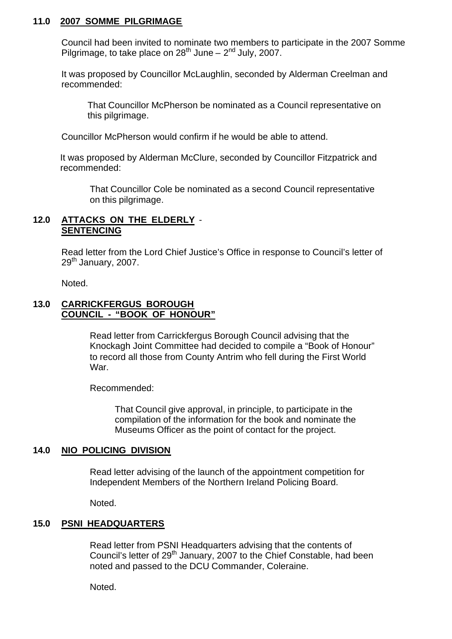#### **11.0 2007 SOMME PILGRIMAGE**

Council had been invited to nominate two members to participate in the 2007 Somme Pilgrimage, to take place on 28<sup>th</sup> June – 2<sup>nd</sup> July, 2007.

It was proposed by Councillor McLaughlin, seconded by Alderman Creelman and recommended:

That Councillor McPherson be nominated as a Council representative on this pilgrimage.

Councillor McPherson would confirm if he would be able to attend.

It was proposed by Alderman McClure, seconded by Councillor Fitzpatrick and recommended:

That Councillor Cole be nominated as a second Council representative on this pilgrimage.

### **12.0 ATTACKS ON THE ELDERLY** - **SENTENCING**

Read letter from the Lord Chief Justice's Office in response to Council's letter of 29<sup>th</sup> January, 2007.

Noted.

#### **13.0 CARRICKFERGUS BOROUGH COUNCIL - "BOOK OF HONOUR"**

Read letter from Carrickfergus Borough Council advising that the Knockagh Joint Committee had decided to compile a "Book of Honour" to record all those from County Antrim who fell during the First World War.

Recommended:

That Council give approval, in principle, to participate in the compilation of the information for the book and nominate the Museums Officer as the point of contact for the project.

#### **14.0 NIO POLICING DIVISION**

Read letter advising of the launch of the appointment competition for Independent Members of the Northern Ireland Policing Board.

Noted.

#### **15.0 PSNI HEADQUARTERS**

Read letter from PSNI Headquarters advising that the contents of Council's letter of 29<sup>th</sup> January, 2007 to the Chief Constable, had been noted and passed to the DCU Commander, Coleraine.

Noted.